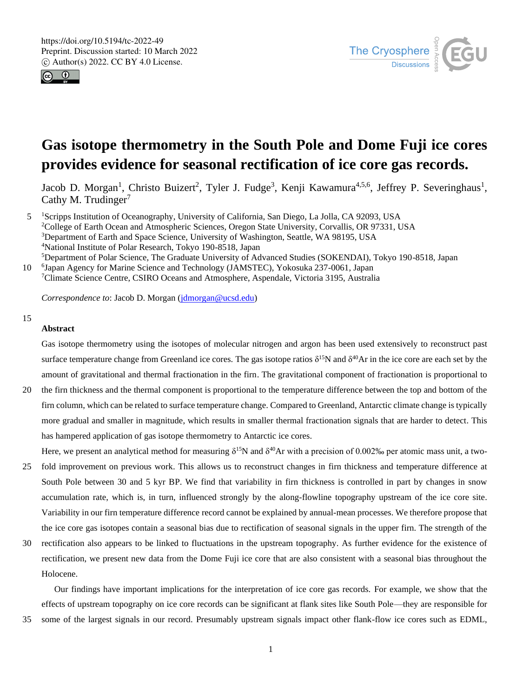



# **Gas isotope thermometry in the South Pole and Dome Fuji ice cores provides evidence for seasonal rectification of ice core gas records.**

Jacob D. Morgan<sup>1</sup>, Christo Buizert<sup>2</sup>, Tyler J. Fudge<sup>3</sup>, Kenji Kawamura<sup>4,5,6</sup>, Jeffrey P. Severinghaus<sup>1</sup>, Cathy M. Trudinger<sup>7</sup>

5 <sup>1</sup>Scripps Institution of Oceanography, University of California, San Diego, La Jolla, CA 92093, USA <sup>2</sup>College of Earth Ocean and Atmospheric Sciences, Oregon State University, Corvallis, OR 97331, USA <sup>3</sup>Department of Earth and Space Science, University of Washington, Seattle, WA 98195, USA <sup>4</sup>National Institute of Polar Research, Tokyo 190-8518, Japan <sup>5</sup>Department of Polar Science, The Graduate University of Advanced Studies (SOKENDAI), Tokyo 190-8518, Japan

10 <sup>6</sup> Japan Agency for Marine Science and Technology (JAMSTEC), Yokosuka 237-0061, Japan <sup>7</sup>Climate Science Centre, CSIRO Oceans and Atmosphere, Aspendale, Victoria 3195, Australia

*Correspondence to*: Jacob D. Morgan (jdmorgan@ucsd.edu)

#### 15

#### **Abstract**

Gas isotope thermometry using the isotopes of molecular nitrogen and argon has been used extensively to reconstruct past surface temperature change from Greenland ice cores. The gas isotope ratios  $\delta^{15}N$  and  $\delta^{40}Ar$  in the ice core are each set by the amount of gravitational and thermal fractionation in the firn. The gravitational component of fractionation is proportional to

20 the firn thickness and the thermal component is proportional to the temperature difference between the top and bottom of the firn column, which can be related to surface temperature change. Compared to Greenland, Antarctic climate change is typically more gradual and smaller in magnitude, which results in smaller thermal fractionation signals that are harder to detect. This has hampered application of gas isotope thermometry to Antarctic ice cores.

Here, we present an analytical method for measuring  $\delta^{15}N$  and  $\delta^{40}Ar$  with a precision of 0.002‰ per atomic mass unit, a two-

- 25 fold improvement on previous work. This allows us to reconstruct changes in firn thickness and temperature difference at South Pole between 30 and 5 kyr BP. We find that variability in firn thickness is controlled in part by changes in snow accumulation rate, which is, in turn, influenced strongly by the along-flowline topography upstream of the ice core site. Variability in our firn temperature difference record cannot be explained by annual-mean processes. We therefore propose that the ice core gas isotopes contain a seasonal bias due to rectification of seasonal signals in the upper firn. The strength of the
- 30 rectification also appears to be linked to fluctuations in the upstream topography. As further evidence for the existence of rectification, we present new data from the Dome Fuji ice core that are also consistent with a seasonal bias throughout the Holocene.

Our findings have important implications for the interpretation of ice core gas records. For example, we show that the effects of upstream topography on ice core records can be significant at flank sites like South Pole—they are responsible for

35 some of the largest signals in our record. Presumably upstream signals impact other flank-flow ice cores such as EDML,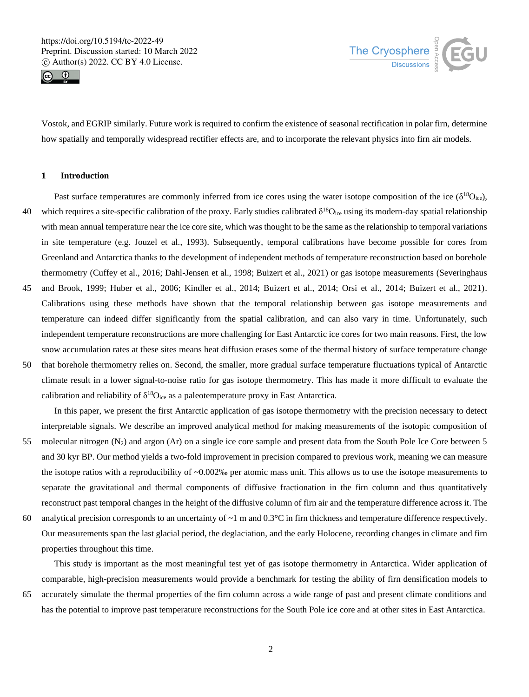



Vostok, and EGRIP similarly. Future work is required to confirm the existence of seasonal rectification in polar firn, determine how spatially and temporally widespread rectifier effects are, and to incorporate the relevant physics into firn air models.

# **1 Introduction**

- Past surface temperatures are commonly inferred from ice cores using the water isotope composition of the ice  $(\delta^{18}O_{\text{ice}})$ , 40 which requires a site-specific calibration of the proxy. Early studies calibrated  $\delta^{18}O_{\text{ice}}$  using its modern-day spatial relationship with mean annual temperature near the ice core site, which was thought to be the same as the relationship to temporal variations in site temperature (e.g. Jouzel et al., 1993). Subsequently, temporal calibrations have become possible for cores from Greenland and Antarctica thanks to the development of independent methods of temperature reconstruction based on borehole thermometry (Cuffey et al., 2016; Dahl-Jensen et al., 1998; Buizert et al., 2021) or gas isotope measurements (Severinghaus
- 45 and Brook, 1999; Huber et al., 2006; Kindler et al., 2014; Buizert et al., 2014; Orsi et al., 2014; Buizert et al., 2021). Calibrations using these methods have shown that the temporal relationship between gas isotope measurements and temperature can indeed differ significantly from the spatial calibration, and can also vary in time. Unfortunately, such independent temperature reconstructions are more challenging for East Antarctic ice cores for two main reasons. First, the low snow accumulation rates at these sites means heat diffusion erases some of the thermal history of surface temperature change
- 50 that borehole thermometry relies on. Second, the smaller, more gradual surface temperature fluctuations typical of Antarctic climate result in a lower signal-to-noise ratio for gas isotope thermometry. This has made it more difficult to evaluate the calibration and reliability of  $\delta^{18}O_{\text{ice}}$  as a paleotemperature proxy in East Antarctica.

In this paper, we present the first Antarctic application of gas isotope thermometry with the precision necessary to detect interpretable signals. We describe an improved analytical method for making measurements of the isotopic composition of 55 molecular nitrogen  $(N_2)$  and argon  $(Ar)$  on a single ice core sample and present data from the South Pole Ice Core between 5 and 30 kyr BP. Our method yields a two-fold improvement in precision compared to previous work, meaning we can measure the isotope ratios with a reproducibility of ~0.002‰ per atomic mass unit. This allows us to use the isotope measurements to separate the gravitational and thermal components of diffusive fractionation in the firn column and thus quantitatively reconstruct past temporal changes in the height of the diffusive column of firn air and the temperature difference across it. The

60 analytical precision corresponds to an uncertainty of  $\sim$ 1 m and 0.3 $\degree$ C in firn thickness and temperature difference respectively. Our measurements span the last glacial period, the deglaciation, and the early Holocene, recording changes in climate and firn properties throughout this time.

This study is important as the most meaningful test yet of gas isotope thermometry in Antarctica. Wider application of comparable, high-precision measurements would provide a benchmark for testing the ability of firn densification models to 65 accurately simulate the thermal properties of the firn column across a wide range of past and present climate conditions and has the potential to improve past temperature reconstructions for the South Pole ice core and at other sites in East Antarctica.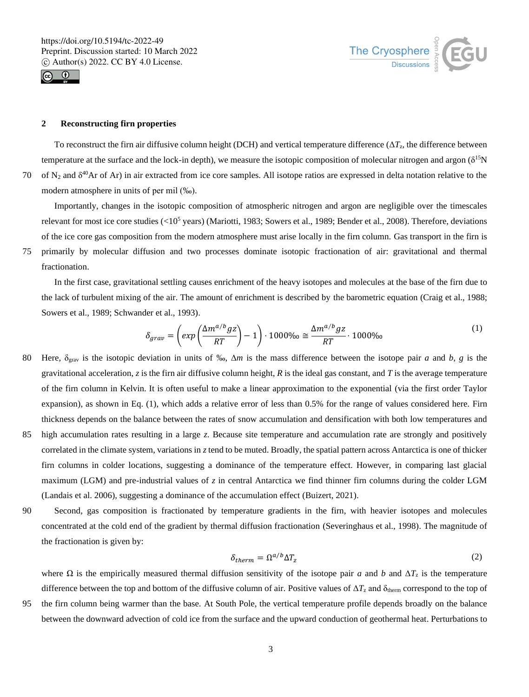



## **2 Reconstructing firn properties**

To reconstruct the firn air diffusive column height (DCH) and vertical temperature difference  $(\Delta T_z)$ , the difference between temperature at the surface and the lock-in depth), we measure the isotopic composition of molecular nitrogen and argon  $(\delta^{15}N)$ 70 of  $N_2$  and  $\delta^{40}$ Ar of Ar) in air extracted from ice core samples. All isotope ratios are expressed in delta notation relative to the modern atmosphere in units of per mil (‰).

Importantly, changes in the isotopic composition of atmospheric nitrogen and argon are negligible over the timescales relevant for most ice core studies  $(<10^5$  years) (Mariotti, 1983; Sowers et al., 1989; Bender et al., 2008). Therefore, deviations of the ice core gas composition from the modern atmosphere must arise locally in the firn column. Gas transport in the firn is 75 primarily by molecular diffusion and two processes dominate isotopic fractionation of air: gravitational and thermal fractionation.

In the first case, gravitational settling causes enrichment of the heavy isotopes and molecules at the base of the firn due to the lack of turbulent mixing of the air. The amount of enrichment is described by the barometric equation (Craig et al., 1988; Sowers et al., 1989; Schwander et al., 1993).

$$
\delta_{grav} = \left(\exp\left(\frac{\Delta m^{a/b} g z}{RT}\right) - 1\right) \cdot 1000\% \approx \frac{\Delta m^{a/b} g z}{RT} \cdot 1000\% \tag{1}
$$

- 80 Here, δgrav is the isotopic deviation in units of ‰, Δ*m* is the mass difference between the isotope pair *a* and *b*, *g* is the gravitational acceleration, *z* is the firn air diffusive column height, *R* is the ideal gas constant, and *T* is the average temperature of the firn column in Kelvin. It is often useful to make a linear approximation to the exponential (via the first order Taylor expansion), as shown in Eq. (1), which adds a relative error of less than 0.5% for the range of values considered here. Firn thickness depends on the balance between the rates of snow accumulation and densification with both low temperatures and 85 high accumulation rates resulting in a large *z*. Because site temperature and accumulation rate are strongly and positively
- correlated in the climate system, variations in *z* tend to be muted. Broadly, the spatial pattern across Antarctica is one of thicker firn columns in colder locations, suggesting a dominance of the temperature effect. However, in comparing last glacial maximum (LGM) and pre-industrial values of *z* in central Antarctica we find thinner firn columns during the colder LGM (Landais et al. 2006), suggesting a dominance of the accumulation effect (Buizert, 2021).
- 90 Second, gas composition is fractionated by temperature gradients in the firn, with heavier isotopes and molecules concentrated at the cold end of the gradient by thermal diffusion fractionation (Severinghaus et al., 1998). The magnitude of the fractionation is given by:

$$
\delta_{therm} = \Omega^{a/b} \Delta T_z \tag{2}
$$

where  $\Omega$  is the empirically measured thermal diffusion sensitivity of the isotope pair *a* and *b* and  $\Delta T_z$  is the temperature difference between the top and bottom of the diffusive column of air. Positive values of  $\Delta T_z$  and  $\delta_{\text{therm}}$  correspond to the top of 95 the firn column being warmer than the base. At South Pole, the vertical temperature profile depends broadly on the balance

between the downward advection of cold ice from the surface and the upward conduction of geothermal heat. Perturbations to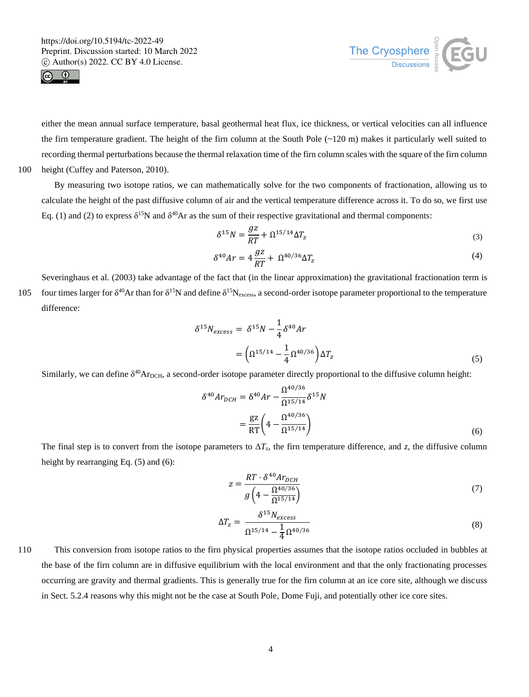



either the mean annual surface temperature, basal geothermal heat flux, ice thickness, or vertical velocities can all influence the firn temperature gradient. The height of the firn column at the South Pole  $(\sim 120 \text{ m})$  makes it particularly well suited to recording thermal perturbations because the thermal relaxation time of the firn column scales with the square of the firn column 100 height (Cuffey and Paterson, 2010).

By measuring two isotope ratios, we can mathematically solve for the two components of fractionation, allowing us to calculate the height of the past diffusive column of air and the vertical temperature difference across it. To do so, we first use Eq. (1) and (2) to express  $\delta^{15}N$  and  $\delta^{40}Ar$  as the sum of their respective gravitational and thermal components:

$$
\delta^{15}N = \frac{gz}{RT} + \Omega^{15/14}\Delta T_z
$$
\n(3)

$$
\delta^{40}Ar = 4\frac{gz}{RT} + \Omega^{40/36}\Delta T_z \tag{4}
$$

Severinghaus et al. (2003) take advantage of the fact that (in the linear approximation) the gravitational fractionation term is 105 four times larger for  $\delta^{40}$ Ar than for  $\delta^{15}N$  and define  $\delta^{15}N_{\text{excess}}$ , a second-order isotope parameter proportional to the temperature difference:

$$
\delta^{15} N_{excess} = \delta^{15} N - \frac{1}{4} \delta^{40} Ar
$$
  
= 
$$
\left( \Omega^{15/14} - \frac{1}{4} \Omega^{40/36} \right) \Delta T_z
$$
 (5)

Similarly, we can define  $\delta^{40}$ Ar<sub>DCH</sub>, a second-order isotope parameter directly proportional to the diffusive column height:

$$
\delta^{40}Ar_{DCH} = \delta^{40}Ar - \frac{\Omega^{40/36}}{\Omega^{15/14}} \delta^{15}N
$$

$$
= \frac{gZ}{RT} \left(4 - \frac{\Omega^{40/36}}{\Omega^{15/14}}\right)
$$
(6)

The final step is to convert from the isotope parameters to  $\Delta T_z$ , the firn temperature difference, and *z*, the diffusive column height by rearranging Eq.  $(5)$  and  $(6)$ :

$$
z = \frac{RT \cdot \delta^{40} Ar_{DCH}}{g\left(4 - \frac{\Omega^{40/36}}{\Omega^{15/14}}\right)}\tag{7}
$$

$$
\Delta T_z = \frac{\delta^{15} N_{excess}}{\Omega^{15/14} - \frac{1}{4} \Omega^{40/36}}
$$
 (8)

110 This conversion from isotope ratios to the firn physical properties assumes that the isotope ratios occluded in bubbles at the base of the firn column are in diffusive equilibrium with the local environment and that the only fractionating processes occurring are gravity and thermal gradients. This is generally true for the firn column at an ice core site, although we discuss in Sect. 5.2.4 reasons why this might not be the case at South Pole, Dome Fuji, and potentially other ice core sites.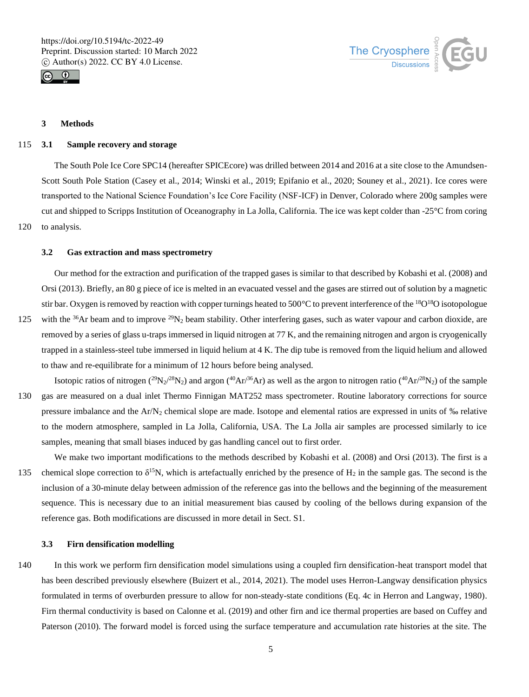



# **3 Methods**

#### 115 **3.1 Sample recovery and storage**

The South Pole Ice Core SPC14 (hereafter SPICEcore) was drilled between 2014 and 2016 at a site close to the Amundsen-Scott South Pole Station (Casey et al., 2014; Winski et al., 2019; Epifanio et al., 2020; Souney et al., 2021). Ice cores were transported to the National Science Foundation's Ice Core Facility (NSF-ICF) in Denver, Colorado where 200g samples were cut and shipped to Scripps Institution of Oceanography in La Jolla, California. The ice was kept colder than -25°C from coring 120 to analysis.

#### **3.2 Gas extraction and mass spectrometry**

Our method for the extraction and purification of the trapped gases is similar to that described by Kobashi et al. (2008) and Orsi (2013). Briefly, an 80 g piece of ice is melted in an evacuated vessel and the gases are stirred out of solution by a magnetic stir bar. Oxygen is removed by reaction with copper turnings heated to 500°C to prevent interference of the <sup>18</sup>O<sup>18</sup>O isotopologue 125 with the  $36Ar$  beam and to improve  $29N_2$  beam stability. Other interfering gases, such as water vapour and carbon dioxide, are

- removed by a series of glass u-traps immersed in liquid nitrogen at 77 K, and the remaining nitrogen and argon is cryogenically trapped in a stainless-steel tube immersed in liquid helium at 4 K. The dip tube is removed from the liquid helium and allowed to thaw and re-equilibrate for a minimum of 12 hours before being analysed.
- Isotopic ratios of nitrogen ( $^{29}N_2/^{28}N_2$ ) and argon ( $^{40}Ar/^{36}Ar$ ) as well as the argon to nitrogen ratio ( $^{40}Ar/^{28}N_2$ ) of the sample 130 gas are measured on a dual inlet Thermo Finnigan MAT252 mass spectrometer. Routine laboratory corrections for source pressure imbalance and the Ar/N<sup>2</sup> chemical slope are made. Isotope and elemental ratios are expressed in units of ‰ relative to the modern atmosphere, sampled in La Jolla, California, USA. The La Jolla air samples are processed similarly to ice samples, meaning that small biases induced by gas handling cancel out to first order.
- We make two important modifications to the methods described by Kobashi et al. (2008) and Orsi (2013). The first is a 135 chemical slope correction to  $\delta^{15}N$ , which is artefactually enriched by the presence of H<sub>2</sub> in the sample gas. The second is the inclusion of a 30-minute delay between admission of the reference gas into the bellows and the beginning of the measurement sequence. This is necessary due to an initial measurement bias caused by cooling of the bellows during expansion of the reference gas. Both modifications are discussed in more detail in Sect. S1.

#### **3.3 Firn densification modelling**

140 In this work we perform firn densification model simulations using a coupled firn densification-heat transport model that has been described previously elsewhere (Buizert et al., 2014, 2021). The model uses Herron-Langway densification physics formulated in terms of overburden pressure to allow for non-steady-state conditions (Eq. 4c in Herron and Langway, 1980). Firn thermal conductivity is based on Calonne et al. (2019) and other firn and ice thermal properties are based on Cuffey and Paterson (2010). The forward model is forced using the surface temperature and accumulation rate histories at the site. The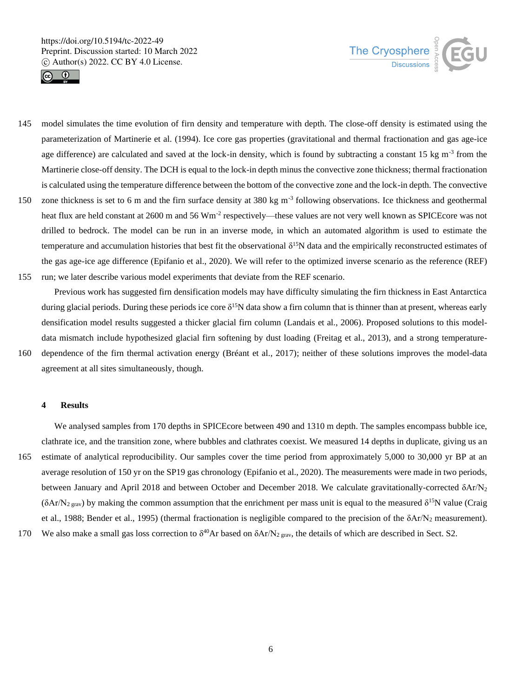



- 145 model simulates the time evolution of firn density and temperature with depth. The close-off density is estimated using the parameterization of Martinerie et al. (1994). Ice core gas properties (gravitational and thermal fractionation and gas age-ice age difference) are calculated and saved at the lock-in density, which is found by subtracting a constant 15 kg  $m^{-3}$  from the Martinerie close-off density. The DCH is equal to the lock-in depth minus the convective zone thickness; thermal fractionation is calculated using the temperature difference between the bottom of the convective zone and the lock-in depth. The convective
- 150 zone thickness is set to 6 m and the firn surface density at 380 kg m<sup>-3</sup> following observations. Ice thickness and geothermal heat flux are held constant at 2600 m and 56 Wm<sup>-2</sup> respectively—these values are not very well known as SPICEcore was not drilled to bedrock. The model can be run in an inverse mode, in which an automated algorithm is used to estimate the temperature and accumulation histories that best fit the observational  $\delta^{15}N$  data and the empirically reconstructed estimates of the gas age-ice age difference (Epifanio et al., 2020). We will refer to the optimized inverse scenario as the reference (REF)
- 155 run; we later describe various model experiments that deviate from the REF scenario.

Previous work has suggested firn densification models may have difficulty simulating the firn thickness in East Antarctica during glacial periods. During these periods ice core  $\delta^{15}N$  data show a firn column that is thinner than at present, whereas early densification model results suggested a thicker glacial firn column (Landais et al., 2006). Proposed solutions to this modeldata mismatch include hypothesized glacial firn softening by dust loading (Freitag et al., 2013), and a strong temperature-160 dependence of the firn thermal activation energy (Bréant et al., 2017); neither of these solutions improves the model-data agreement at all sites simultaneously, though.

# **4 Results**

We analysed samples from 170 depths in SPICE core between 490 and 1310 m depth. The samples encompass bubble ice, clathrate ice, and the transition zone, where bubbles and clathrates coexist. We measured 14 depths in duplicate, giving us an 165 estimate of analytical reproducibility. Our samples cover the time period from approximately 5,000 to 30,000 yr BP at an average resolution of 150 yr on the SP19 gas chronology (Epifanio et al., 2020). The measurements were made in two periods, between January and April 2018 and between October and December 2018. We calculate gravitationally-corrected δAr/N<sub>2</sub> ( $\delta$ Ar/N<sub>2 grav</sub>) by making the common assumption that the enrichment per mass unit is equal to the measured  $\delta^{15}N$  value (Craig et al., 1988; Bender et al., 1995) (thermal fractionation is negligible compared to the precision of the  $\delta A r/N_2$  measurement). 170 We also make a small gas loss correction to  $\delta^{40}$ Ar based on  $\delta$ Ar/N<sub>2 grav</sub>, the details of which are described in Sect. S2.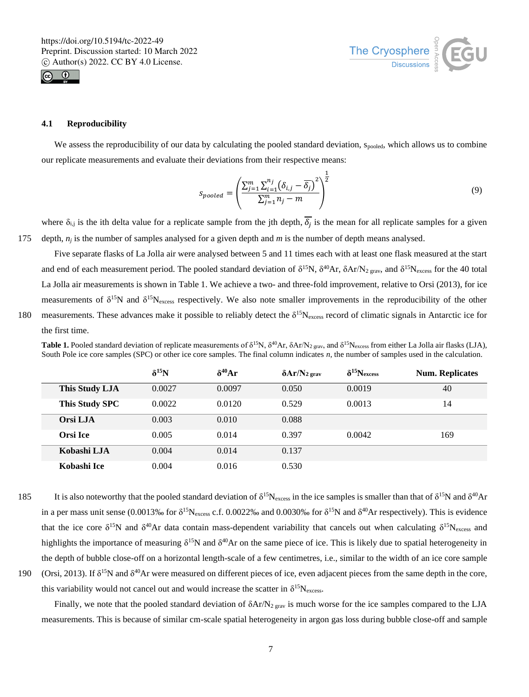



# **4.1 Reproducibility**

We assess the reproducibility of our data by calculating the pooled standard deviation, spooled, which allows us to combine our replicate measurements and evaluate their deviations from their respective means:

$$
S_{pooled} = \left(\frac{\sum_{j=1}^{m} \sum_{i=1}^{n_j} (\delta_{i,j} - \overline{\delta_j})^2}{\sum_{j=1}^{m} n_j - m}\right)^{\frac{1}{2}}
$$
(9)

where  $\delta_{i,j}$  is the ith delta value for a replicate sample from the jth depth,  $\delta_j$  is the mean for all replicate samples for a given 175 depth,  $n_i$  is the number of samples analysed for a given depth and  $m$  is the number of depth means analysed.

Five separate flasks of La Jolla air were analysed between 5 and 11 times each with at least one flask measured at the start and end of each measurement period. The pooled standard deviation of  $\delta^{15}N$ ,  $\delta^{40}Ar$ ,  $\delta Ar/N_2$  grav, and  $\delta^{15}N_{excess}$  for the 40 total La Jolla air measurements is shown in Table 1. We achieve a two- and three-fold improvement, relative to Orsi (2013), for ice measurements of  $\delta^{15}N$  and  $\delta^{15}N_{excess}$  respectively. We also note smaller improvements in the reproducibility of the other 180 measurements. These advances make it possible to reliably detect the  $\delta^{15}N_{excess}$  record of climatic signals in Antarctic ice for the first time.

**Table 1.** Pooled standard deviation of replicate measurements of  $\delta^{15}N$ ,  $\delta^{40}Ar$ ,  $\delta Ar/N_{2\text{ grav}}$ , and  $\delta^{15}N_{\text{excess}}$  from either La Jolla air flasks (LJA), South Pole ice core samples (SPC) or other ice core samples. The final column indicates *n*, the number of samples used in the calculation.

|                       | $\delta^{15}N$ | $\delta^{40}$ Ar | $\delta Ar/N_{2 \text{ grav}}$ | $\delta^{15}N_{excess}$ | <b>Num. Replicates</b> |
|-----------------------|----------------|------------------|--------------------------------|-------------------------|------------------------|
| <b>This Study LJA</b> | 0.0027         | 0.0097           | 0.050                          | 0.0019                  | 40                     |
| This Study SPC        | 0.0022         | 0.0120           | 0.529                          | 0.0013                  | 14                     |
| Orsi LJA              | 0.003          | 0.010            | 0.088                          |                         |                        |
| Orsi Ice              | 0.005          | 0.014            | 0.397                          | 0.0042                  | 169                    |
| Kobashi LJA           | 0.004          | 0.014            | 0.137                          |                         |                        |
| Kobashi Ice           | 0.004          | 0.016            | 0.530                          |                         |                        |

- 185 It is also noteworthy that the pooled standard deviation of  $\delta^{15}N_{\text{excess}}$  in the ice samples is smaller than that of  $\delta^{15}N$  and  $\delta^{40}Ar$ in a per mass unit sense (0.0013% for  $\delta^{15}N_{excess}$  c.f. 0.0022% and 0.0030% for  $\delta^{15}N$  and  $\delta^{40}Ar$  respectively). This is evidence that the ice core  $\delta^{15}N$  and  $\delta^{40}Ar$  data contain mass-dependent variability that cancels out when calculating  $\delta^{15}N_{\text{excess}}$  and highlights the importance of measuring  $\delta^{15}N$  and  $\delta^{40}Ar$  on the same piece of ice. This is likely due to spatial heterogeneity in the depth of bubble close-off on a horizontal length-scale of a few centimetres, i.e., similar to the width of an ice core sample 190 (Orsi, 2013). If  $\delta^{15}N$  and  $\delta^{40}Ar$  were measured on different pieces of ice, even adjacent pieces from the same depth in the core,
- 

Finally, we note that the pooled standard deviation of  $\delta A r/N_{2 \text{ grav}}$  is much worse for the ice samples compared to the LJA measurements. This is because of similar cm-scale spatial heterogeneity in argon gas loss during bubble close-off and sample

this variability would not cancel out and would increase the scatter in  $\delta^{15}N_{\text{excess}}$ .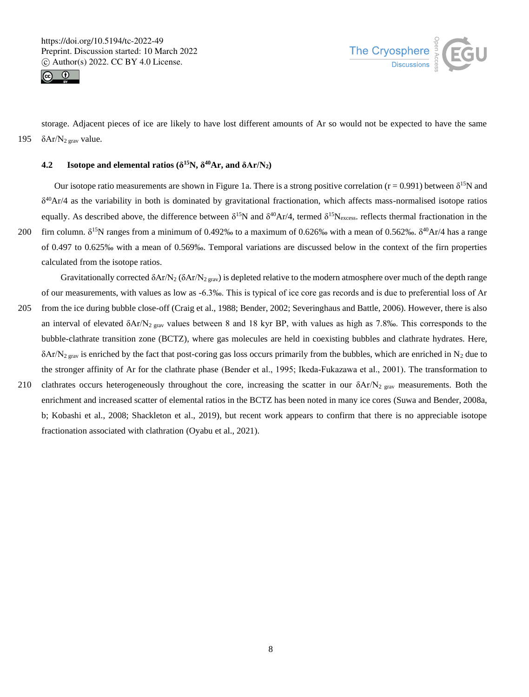



storage. Adjacent pieces of ice are likely to have lost different amounts of Ar so would not be expected to have the same 195  $\delta$ Ar/N<sub>2 grav</sub> value.

## **4.2 Isotope and elemental ratios (** $\delta^{15}N$ **,**  $\delta^{40}Ar$ **, and**  $\delta Ar/N_2$ **)**

Our isotope ratio measurements are shown in Figure 1a. There is a strong positive correlation ( $r = 0.991$ ) between  $\delta^{15}N$  and δ <sup>40</sup>Ar/4 as the variability in both is dominated by gravitational fractionation, which affects mass-normalised isotope ratios equally. As described above, the difference between  $\delta^{15}N$  and  $\delta^{40}Ar/4$ , termed  $\delta^{15}N_{excess}$ . reflects thermal fractionation in the 200 firn column.  $\delta^{15}N$  ranges from a minimum of 0.492% to a maximum of 0.626% with a mean of 0.562%.  $\delta^{40}Ar/4$  has a range of 0.497 to 0.625‰ with a mean of 0.569‰. Temporal variations are discussed below in the context of the firn properties calculated from the isotope ratios.

Gravitationally corrected  $\delta$ Ar/N<sub>2</sub> ( $\delta$ Ar/N<sub>2 grav</sub>) is depleted relative to the modern atmosphere over much of the depth range of our measurements, with values as low as -6.3‰. This is typical of ice core gas records and is due to preferential loss of Ar

- 205 from the ice during bubble close-off (Craig et al., 1988; Bender, 2002; Severinghaus and Battle, 2006). However, there is also an interval of elevated  $\delta A r/N_2$  grav values between 8 and 18 kyr BP, with values as high as 7.8‰. This corresponds to the bubble-clathrate transition zone (BCTZ), where gas molecules are held in coexisting bubbles and clathrate hydrates. Here,  $\delta$ Ar/N<sub>2 grav</sub> is enriched by the fact that post-coring gas loss occurs primarily from the bubbles, which are enriched in N<sub>2</sub> due to the stronger affinity of Ar for the clathrate phase (Bender et al., 1995; Ikeda-Fukazawa et al., 2001). The transformation to
- 210 clathrates occurs heterogeneously throughout the core, increasing the scatter in our  $\delta A r/N_2$  grav measurements. Both the enrichment and increased scatter of elemental ratios in the BCTZ has been noted in many ice cores (Suwa and Bender, 2008a, b; Kobashi et al., 2008; Shackleton et al., 2019), but recent work appears to confirm that there is no appreciable isotope fractionation associated with clathration (Oyabu et al., 2021).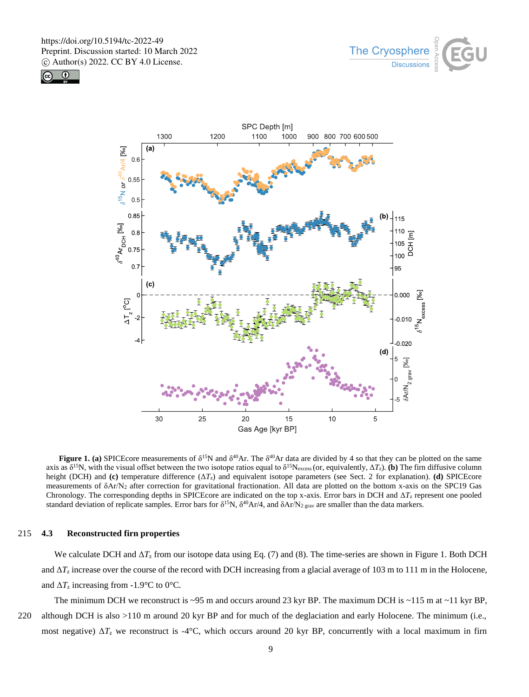





**Figure 1. (a)** SPICEcore measurements of  $\delta^{15}N$  and  $\delta^{40}Ar$ . The  $\delta^{40}Ar$  data are divided by 4 so that they can be plotted on the same axis as  $\delta^{15}$ N, with the visual offset between the two isotope ratios equal to  $\delta^{15}$ Nexcess (or, equivalently,  $\Delta T_z$ ). (b) The firn diffusive column height (DCH) and **(c)** temperature difference (Δ*T*z) and equivalent isotope parameters (see Sect. 2 for explanation). **(d)** SPICEcore measurements of δAr/N<sup>2</sup> after correction for gravitational fractionation. All data are plotted on the bottom x-axis on the SPC19 Gas Chronology. The corresponding depths in SPICEcore are indicated on the top x-axis. Error bars in DCH and Δ*T*<sup>z</sup> represent one pooled standard deviation of replicate samples. Error bars for  $\delta^{15}N$ ,  $\delta^{40}Ar/4$ , and  $\delta Ar/N_2$ <sub>grav</sub> are smaller than the data markers.

## 215 **4.3 Reconstructed firn properties**

We calculate DCH and Δ*T*<sup>z</sup> from our isotope data using Eq. (7) and (8). The time-series are shown in Figure 1. Both DCH and  $\Delta T_z$  increase over the course of the record with DCH increasing from a glacial average of 103 m to 111 m in the Holocene, and  $\Delta T_z$  increasing from -1.9°C to 0°C.

The minimum DCH we reconstruct is  $\sim$ 95 m and occurs around 23 kyr BP. The maximum DCH is  $\sim$ 115 m at  $\sim$ 11 kyr BP, 220 although DCH is also >110 m around 20 kyr BP and for much of the deglaciation and early Holocene. The minimum (i.e., most negative)  $\Delta T_z$  we reconstruct is -4°C, which occurs around 20 kyr BP, concurrently with a local maximum in firn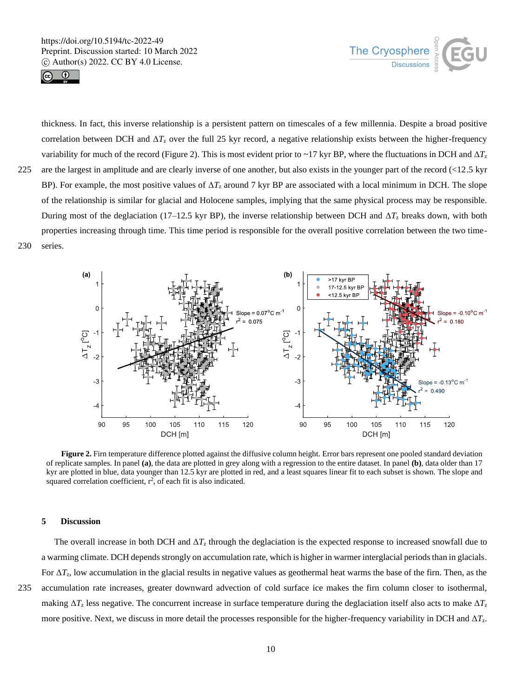



thickness. In fact, this inverse relationship is a persistent pattern on timescales of a few millennia. Despite a broad positive correlation between DCH and  $\Delta T_z$  over the full 25 kyr record, a negative relationship exists between the higher-frequency variability for much of the record (Figure 2). This is most evident prior to ~17 kyr BP, where the fluctuations in DCH and  $\Delta T_z$ 225 are the largest in amplitude and are clearly inverse of one another, but also exists in the younger part of the record (<12.5 kyr BP). For example, the most positive values of  $\Delta T_z$  around 7 kyr BP are associated with a local minimum in DCH. The slope of the relationship is similar for glacial and Holocene samples, implying that the same physical process may be responsible. During most of the deglaciation (17–12.5 kyr BP), the inverse relationship between DCH and  $\Delta T_z$  breaks down, with both properties increasing through time. This time period is responsible for the overall positive correlation between the two time-230 series.



**Figure 2.** Firn temperature difference plotted against the diffusive column height. Error bars represent one pooled standard deviation of replicate samples. In panel **(a)**, the data are plotted in grey along with a regression to the entire dataset. In panel **(b)**, data older than 17 kyr are plotted in blue, data younger than 12.5 kyr are plotted in red, and a least squares linear fit to each subset is shown. The slope and squared correlation coefficient,  $r^2$ , of each fit is also indicated.

## **5 Discussion**

The overall increase in both DCH and  $\Delta T_z$  through the deglaciation is the expected response to increased snowfall due to a warming climate. DCH depends strongly on accumulation rate, which is higher in warmer interglacial periods than in glacials. For Δ*T*z, low accumulation in the glacial results in negative values as geothermal heat warms the base of the firn. Then, as the 235 accumulation rate increases, greater downward advection of cold surface ice makes the firn column closer to isothermal, making  $\Delta T_z$  less negative. The concurrent increase in surface temperature during the deglaciation itself also acts to make  $\Delta T_z$ more positive. Next, we discuss in more detail the processes responsible for the higher-frequency variability in DCH and Δ*T*z.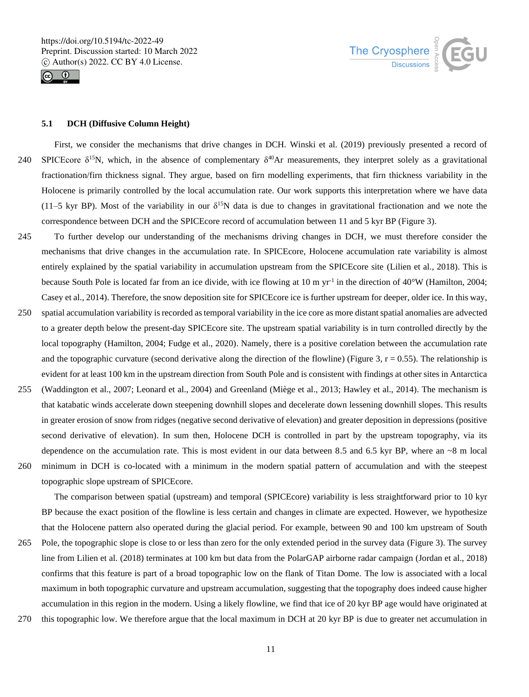



# **5.1 DCH (Diffusive Column Height)**

First, we consider the mechanisms that drive changes in DCH. Winski et al. (2019) previously presented a record of 240 SPICEcore  $\delta^{15}N$ , which, in the absence of complementary  $\delta^{40}Ar$  measurements, they interpret solely as a gravitational fractionation/firn thickness signal. They argue, based on firn modelling experiments, that firn thickness variability in the Holocene is primarily controlled by the local accumulation rate. Our work supports this interpretation where we have data (11–5 kyr BP). Most of the variability in our  $\delta^{15}N$  data is due to changes in gravitational fractionation and we note the correspondence between DCH and the SPICEcore record of accumulation between 11 and 5 kyr BP (Figure 3).

- 245 To further develop our understanding of the mechanisms driving changes in DCH, we must therefore consider the mechanisms that drive changes in the accumulation rate. In SPICEcore, Holocene accumulation rate variability is almost entirely explained by the spatial variability in accumulation upstream from the SPICEcore site (Lilien et al., 2018). This is because South Pole is located far from an ice divide, with ice flowing at 10 m  $yr<sup>-1</sup>$  in the direction of 40°W (Hamilton, 2004; Casey et al., 2014). Therefore, the snow deposition site for SPICEcore ice is further upstream for deeper, older ice. In this way,
- 250 spatial accumulation variability is recorded as temporal variability in the ice core as more distant spatial anomalies are advected to a greater depth below the present-day SPICEcore site. The upstream spatial variability is in turn controlled directly by the local topography (Hamilton, 2004; Fudge et al., 2020). Namely, there is a positive corelation between the accumulation rate and the topographic curvature (second derivative along the direction of the flowline) (Figure 3,  $r = 0.55$ ). The relationship is evident for at least 100 km in the upstream direction from South Pole and is consistent with findings at other sites in Antarctica
- 255 (Waddington et al., 2007; Leonard et al., 2004) and Greenland (Miège et al., 2013; Hawley et al., 2014). The mechanism is that katabatic winds accelerate down steepening downhill slopes and decelerate down lessening downhill slopes. This results in greater erosion of snow from ridges (negative second derivative of elevation) and greater deposition in depressions (positive second derivative of elevation). In sum then, Holocene DCH is controlled in part by the upstream topography, via its dependence on the accumulation rate. This is most evident in our data between 8.5 and 6.5 kyr BP, where an  $~8$  m local
- 

260 minimum in DCH is co-located with a minimum in the modern spatial pattern of accumulation and with the steepest topographic slope upstream of SPICEcore.

The comparison between spatial (upstream) and temporal (SPICEcore) variability is less straightforward prior to 10 kyr BP because the exact position of the flowline is less certain and changes in climate are expected. However, we hypothesize that the Holocene pattern also operated during the glacial period. For example, between 90 and 100 km upstream of South

- 265 Pole, the topographic slope is close to or less than zero for the only extended period in the survey data (Figure 3). The survey line from Lilien et al. (2018) terminates at 100 km but data from the PolarGAP airborne radar campaign (Jordan et al., 2018) confirms that this feature is part of a broad topographic low on the flank of Titan Dome. The low is associated with a local maximum in both topographic curvature and upstream accumulation, suggesting that the topography does indeed cause higher accumulation in this region in the modern. Using a likely flowline, we find that ice of 20 kyr BP age would have originated at
- 270 this topographic low. We therefore argue that the local maximum in DCH at 20 kyr BP is due to greater net accumulation in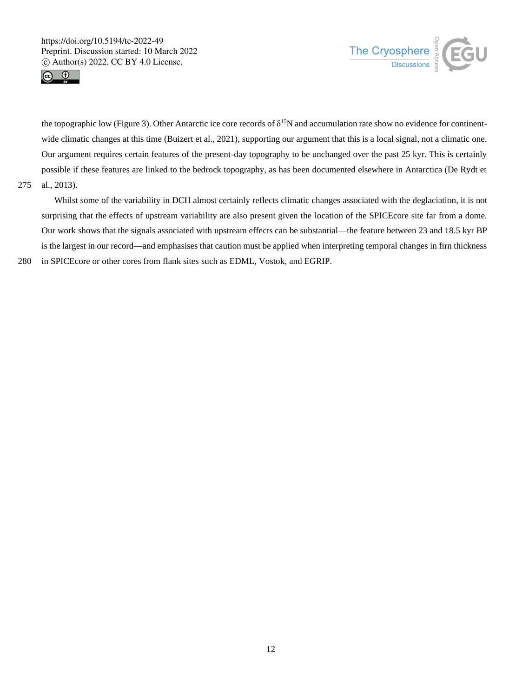



the topographic low (Figure 3). Other Antarctic ice core records of δ<sup>15</sup>N and accumulation rate show no evidence for continentwide climatic changes at this time (Buizert et al., 2021), supporting our argument that this is a local signal, not a climatic one. Our argument requires certain features of the present-day topography to be unchanged over the past 25 kyr. This is certainly possible if these features are linked to the bedrock topography, as has been documented elsewhere in Antarctica (De Rydt et 275 al., 2013).

Whilst some of the variability in DCH almost certainly reflects climatic changes associated with the deglaciation, it is not surprising that the effects of upstream variability are also present given the location of the SPICEcore site far from a dome. Our work shows that the signals associated with upstream effects can be substantial—the feature between 23 and 18.5 kyr BP is the largest in our record—and emphasises that caution must be applied when interpreting temporal changes in firn thickness 280 in SPICEcore or other cores from flank sites such as EDML, Vostok, and EGRIP.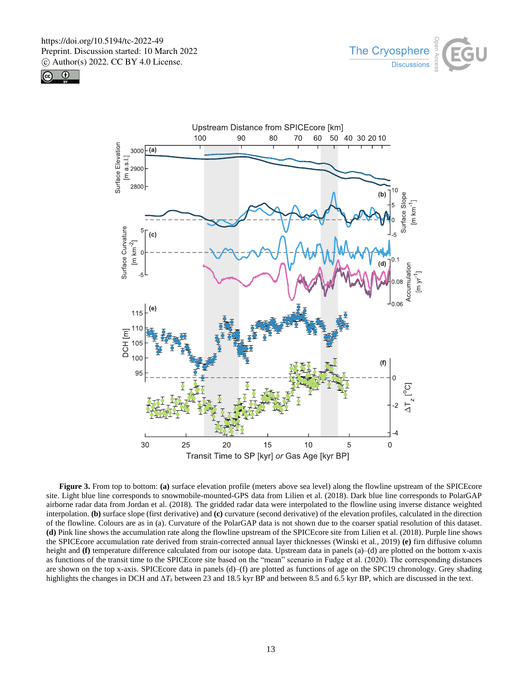





**Figure 3.** From top to bottom: **(a)** surface elevation profile (meters above sea level) along the flowline upstream of the SPICEcore site. Light blue line corresponds to snowmobile-mounted-GPS data from Lilien et al. (2018). Dark blue line corresponds to PolarGAP airborne radar data from Jordan et al. (2018). The gridded radar data were interpolated to the flowline using inverse distance weighted interpolation. **(b)** surface slope (first derivative) and **(c)** curvature (second derivative) of the elevation profiles, calculated in the direction of the flowline. Colours are as in (a). Curvature of the PolarGAP data is not shown due to the coarser spatial resolution of this dataset. **(d)** Pink line shows the accumulation rate along the flowline upstream of the SPICEcore site from Lilien et al. (2018). Purple line shows the SPICEcore accumulation rate derived from strain-corrected annual layer thicknesses (Winski et al., 2019) **(e)** firn diffusive column height and **(f)** temperature difference calculated from our isotope data. Upstream data in panels (a)–(d) are plotted on the bottom x-axis as functions of the transit time to the SPICEcore site based on the "mean" scenario in Fudge et al. (2020). The corresponding distances are shown on the top x-axis. SPICEcore data in panels (d)–(f) are plotted as functions of age on the SPC19 chronology. Grey shading highlights the changes in DCH and Δ*T*<sup>z</sup> between 23 and 18.5 kyr BP and between 8.5 and 6.5 kyr BP, which are discussed in the text.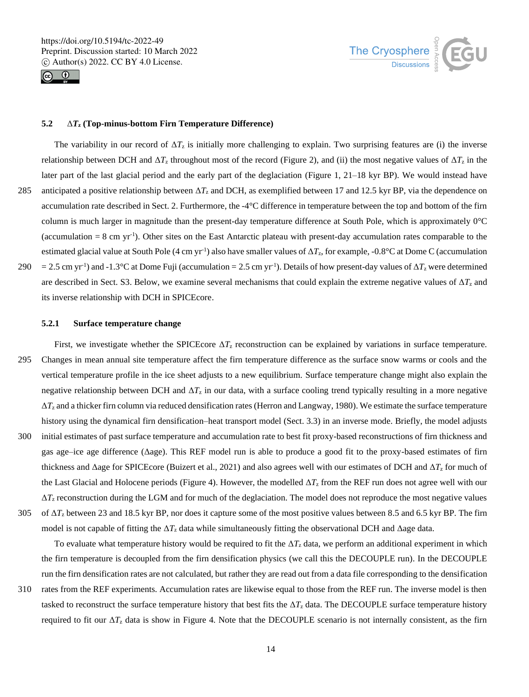



# **5.2** Δ*T***<sup>z</sup> (Top-minus-bottom Firn Temperature Difference)**

The variability in our record of  $\Delta T_z$  is initially more challenging to explain. Two surprising features are (i) the inverse relationship between DCH and  $\Delta T_z$  throughout most of the record (Figure 2), and (ii) the most negative values of  $\Delta T_z$  in the later part of the last glacial period and the early part of the deglaciation (Figure 1, 21–18 kyr BP). We would instead have 285 anticipated a positive relationship between  $\Delta T_z$  and DCH, as exemplified between 17 and 12.5 kyr BP, via the dependence on accumulation rate described in Sect. 2. Furthermore, the -4°C difference in temperature between the top and bottom of the firn column is much larger in magnitude than the present-day temperature difference at South Pole, which is approximately 0°C (accumulation  $= 8$  cm yr<sup>-1</sup>). Other sites on the East Antarctic plateau with present-day accumulation rates comparable to the estimated glacial value at South Pole (4 cm yr<sup>-1</sup>) also have smaller values of  $\Delta T_z$ , for example, -0.8°C at Dome C (accumulation

290 = 2.5 cm yr<sup>-1</sup>) and -1.3°C at Dome Fuji (accumulation = 2.5 cm yr<sup>-1</sup>). Details of how present-day values of  $\Delta T_z$  were determined are described in Sect. S3. Below, we examine several mechanisms that could explain the extreme negative values of Δ*T*<sup>z</sup> and its inverse relationship with DCH in SPICEcore.

# **5.2.1 Surface temperature change**

First, we investigate whether the SPICEcore Δ*T*<sup>z</sup> reconstruction can be explained by variations in surface temperature. 295 Changes in mean annual site temperature affect the firn temperature difference as the surface snow warms or cools and the vertical temperature profile in the ice sheet adjusts to a new equilibrium. Surface temperature change might also explain the negative relationship between DCH and  $\Delta T_z$  in our data, with a surface cooling trend typically resulting in a more negative Δ*T*<sup>z</sup> and a thicker firn column via reduced densification rates (Herron and Langway, 1980). We estimate the surface temperature history using the dynamical firn densification–heat transport model (Sect. 3.3) in an inverse mode. Briefly, the model adjusts 300 initial estimates of past surface temperature and accumulation rate to best fit proxy-based reconstructions of firn thickness and gas age–ice age difference (Δage). This REF model run is able to produce a good fit to the proxy-based estimates of firn thickness and Δage for SPICEcore (Buizert et al., 2021) and also agrees well with our estimates of DCH and Δ*T*<sup>z</sup> for much of the Last Glacial and Holocene periods (Figure 4). However, the modelled  $\Delta T_z$  from the REF run does not agree well with our Δ*T*<sup>z</sup> reconstruction during the LGM and for much of the deglaciation. The model does not reproduce the most negative values 305 of Δ*T*<sup>z</sup> between 23 and 18.5 kyr BP, nor does it capture some of the most positive values between 8.5 and 6.5 kyr BP. The firn

model is not capable of fitting the  $\Delta T_z$  data while simultaneously fitting the observational DCH and  $\Delta$ age data.

To evaluate what temperature history would be required to fit the  $\Delta T_z$  data, we perform an additional experiment in which the firn temperature is decoupled from the firn densification physics (we call this the DECOUPLE run). In the DECOUPLE run the firn densification rates are not calculated, but rather they are read out from a data file corresponding to the densification

310 rates from the REF experiments. Accumulation rates are likewise equal to those from the REF run. The inverse model is then tasked to reconstruct the surface temperature history that best fits the Δ*T*<sup>z</sup> data. The DECOUPLE surface temperature history required to fit our  $ΔT<sub>z</sub>$  data is show in Figure 4. Note that the DECOUPLE scenario is not internally consistent, as the firm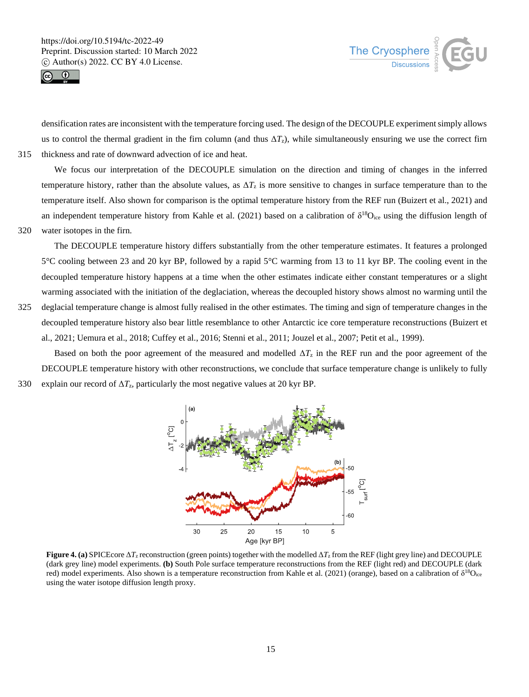



densification rates are inconsistent with the temperature forcing used. The design of the DECOUPLE experiment simply allows us to control the thermal gradient in the firn column (and thus  $\Delta T_z$ ), while simultaneously ensuring we use the correct firn 315 thickness and rate of downward advection of ice and heat.

We focus our interpretation of the DECOUPLE simulation on the direction and timing of changes in the inferred temperature history, rather than the absolute values, as  $\Delta T_z$  is more sensitive to changes in surface temperature than to the temperature itself. Also shown for comparison is the optimal temperature history from the REF run (Buizert et al., 2021) and an independent temperature history from Kahle et al. (2021) based on a calibration of  $\delta^{18}O_{ice}$  using the diffusion length of

320 water isotopes in the firn.

The DECOUPLE temperature history differs substantially from the other temperature estimates. It features a prolonged 5°C cooling between 23 and 20 kyr BP, followed by a rapid 5°C warming from 13 to 11 kyr BP. The cooling event in the decoupled temperature history happens at a time when the other estimates indicate either constant temperatures or a slight warming associated with the initiation of the deglaciation, whereas the decoupled history shows almost no warming until the

325 deglacial temperature change is almost fully realised in the other estimates. The timing and sign of temperature changes in the decoupled temperature history also bear little resemblance to other Antarctic ice core temperature reconstructions (Buizert et al., 2021; Uemura et al., 2018; Cuffey et al., 2016; Stenni et al., 2011; Jouzel et al., 2007; Petit et al., 1999).

Based on both the poor agreement of the measured and modelled  $\Delta T_z$  in the REF run and the poor agreement of the DECOUPLE temperature history with other reconstructions, we conclude that surface temperature change is unlikely to fully 330 explain our record of  $\Delta T_z$ , particularly the most negative values at 20 kyr BP.



**Figure 4. (a)** SPICEcore  $\Delta T_z$  reconstruction (green points) together with the modelled  $\Delta T_z$  from the REF (light grey line) and DECOUPLE (dark grey line) model experiments. **(b)** South Pole surface temperature reconstructions from the REF (light red) and DECOUPLE (dark red) model experiments. Also shown is a temperature reconstruction from Kahle et al. (2021) (orange), based on a calibration of δ<sup>18</sup>O<sub>ice</sub> using the water isotope diffusion length proxy.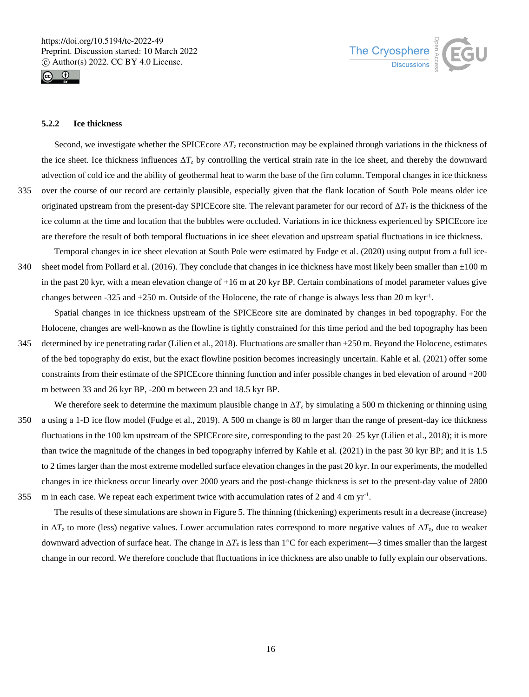



# **5.2.2 Ice thickness**

Second, we investigate whether the SPICEcore  $\Delta T_z$  reconstruction may be explained through variations in the thickness of the ice sheet. Ice thickness influences  $\Delta T_z$  by controlling the vertical strain rate in the ice sheet, and thereby the downward advection of cold ice and the ability of geothermal heat to warm the base of the firn column. Temporal changes in ice thickness 335 over the course of our record are certainly plausible, especially given that the flank location of South Pole means older ice originated upstream from the present-day SPICEcore site. The relevant parameter for our record of Δ*T*<sup>z</sup> is the thickness of the ice column at the time and location that the bubbles were occluded. Variations in ice thickness experienced by SPICEcore ice are therefore the result of both temporal fluctuations in ice sheet elevation and upstream spatial fluctuations in ice thickness.

Temporal changes in ice sheet elevation at South Pole were estimated by Fudge et al. (2020) using output from a full ice-340 sheet model from Pollard et al. (2016). They conclude that changes in ice thickness have most likely been smaller than  $\pm 100$  m in the past 20 kyr, with a mean elevation change of +16 m at 20 kyr BP. Certain combinations of model parameter values give changes between -325 and +250 m. Outside of the Holocene, the rate of change is always less than 20 m kyr<sup>-1</sup>.

Spatial changes in ice thickness upstream of the SPICEcore site are dominated by changes in bed topography. For the Holocene, changes are well-known as the flowline is tightly constrained for this time period and the bed topography has been

345 determined by ice penetrating radar (Lilien et al., 2018). Fluctuations are smaller than  $\pm$ 250 m. Beyond the Holocene, estimates of the bed topography do exist, but the exact flowline position becomes increasingly uncertain. Kahle et al. (2021) offer some constraints from their estimate of the SPICEcore thinning function and infer possible changes in bed elevation of around +200 m between 33 and 26 kyr BP, -200 m between 23 and 18.5 kyr BP.

We therefore seek to determine the maximum plausible change in  $\Delta T_z$  by simulating a 500 m thickening or thinning using 350 a using a 1-D ice flow model (Fudge et al., 2019). A 500 m change is 80 m larger than the range of present-day ice thickness fluctuations in the 100 km upstream of the SPICEcore site, corresponding to the past 20–25 kyr (Lilien et al., 2018); it is more than twice the magnitude of the changes in bed topography inferred by Kahle et al. (2021) in the past 30 kyr BP; and it is 1.5 to 2 times larger than the most extreme modelled surface elevation changes in the past 20 kyr. In our experiments, the modelled changes in ice thickness occur linearly over 2000 years and the post-change thickness is set to the present-day value of 2800 355 m in each case. We repeat each experiment twice with accumulation rates of 2 and 4 cm  $yr^{-1}$ .

The results of these simulations are shown in Figure 5. The thinning (thickening) experiments result in a decrease (increase) in  $\Delta T_z$  to more (less) negative values. Lower accumulation rates correspond to more negative values of  $\Delta T_z$ , due to weaker downward advection of surface heat. The change in  $\Delta T_z$  is less than 1<sup>°</sup>C for each experiment—3 times smaller than the largest change in our record. We therefore conclude that fluctuations in ice thickness are also unable to fully explain our observations.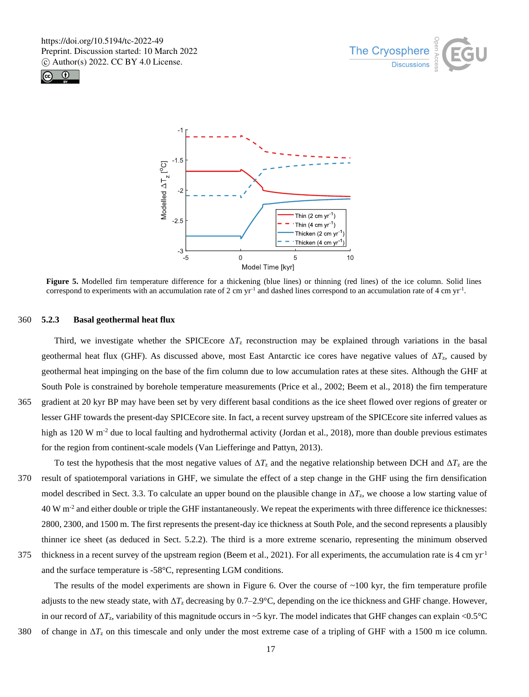





**Figure 5.** Modelled firn temperature difference for a thickening (blue lines) or thinning (red lines) of the ice column. Solid lines correspond to experiments with an accumulation rate of 2 cm  $yr<sup>-1</sup>$  and dashed lines correspond to an accumulation rate of 4 cm  $yr<sup>-1</sup>$ .

#### 360 **5.2.3 Basal geothermal heat flux**

Third, we investigate whether the SPICEcore  $\Delta T_z$  reconstruction may be explained through variations in the basal geothermal heat flux (GHF). As discussed above, most East Antarctic ice cores have negative values of Δ*T*z, caused by geothermal heat impinging on the base of the firn column due to low accumulation rates at these sites. Although the GHF at South Pole is constrained by borehole temperature measurements (Price et al., 2002; Beem et al., 2018) the firn temperature 365 gradient at 20 kyr BP may have been set by very different basal conditions as the ice sheet flowed over regions of greater or lesser GHF towards the present-day SPICEcore site. In fact, a recent survey upstream of the SPICEcore site inferred values as high as  $120 \text{ W m}^2$  due to local faulting and hydrothermal activity (Jordan et al., 2018), more than double previous estimates for the region from continent-scale models (Van Liefferinge and Pattyn, 2013).

- To test the hypothesis that the most negative values of  $\Delta T_z$  and the negative relationship between DCH and  $\Delta T_z$  are the 370 result of spatiotemporal variations in GHF, we simulate the effect of a step change in the GHF using the firn densification model described in Sect. 3.3. To calculate an upper bound on the plausible change in  $\Delta T_z$ , we choose a low starting value of 40 W m<sup>-2</sup> and either double or triple the GHF instantaneously. We repeat the experiments with three difference ice thicknesses: 2800, 2300, and 1500 m. The first represents the present-day ice thickness at South Pole, and the second represents a plausibly thinner ice sheet (as deduced in Sect. 5.2.2). The third is a more extreme scenario, representing the minimum observed 375 thickness in a recent survey of the upstream region (Beem et al., 2021). For all experiments, the accumulation rate is 4 cm  $yr<sup>-1</sup>$
- and the surface temperature is -58°C, representing LGM conditions.

The results of the model experiments are shown in Figure 6. Over the course of  $\sim 100$  kyr, the firn temperature profile adjusts to the new steady state, with Δ*T*<sup>z</sup> decreasing by 0.7–2.9°C, depending on the ice thickness and GHF change. However, in our record of  $\Delta T_z$ , variability of this magnitude occurs in ~5 kyr. The model indicates that GHF changes can explain <0.5°C 380 of change in  $\Delta T_z$  on this timescale and only under the most extreme case of a tripling of GHF with a 1500 m ice column.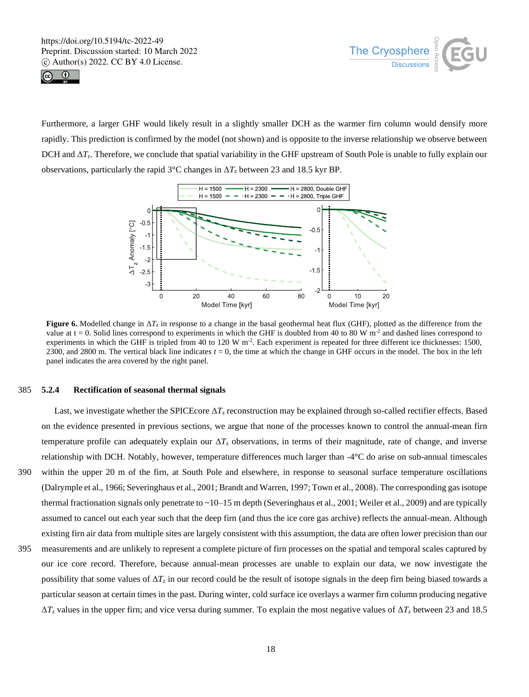



Furthermore, a larger GHF would likely result in a slightly smaller DCH as the warmer firn column would densify more rapidly. This prediction is confirmed by the model (not shown) and is opposite to the inverse relationship we observe between DCH and Δ*T*z. Therefore, we conclude that spatial variability in the GHF upstream of South Pole is unable to fully explain our observations, particularly the rapid 3<sup>o</sup>C changes in  $\Delta T_z$  between 23 and 18.5 kyr BP.



**Figure 6.** Modelled change in Δ*T*<sup>z</sup> in response to a change in the basal geothermal heat flux (GHF), plotted as the difference from the value at  $t = 0$ . Solid lines correspond to experiments in which the GHF is doubled from 40 to 80 W m<sup>-2</sup> and dashed lines correspond to experiments in which the GHF is tripled from 40 to 120 W m<sup>-2</sup>. Each experiment is repeated for three different ice thicknesses: 1500, 2300, and 2800 m. The vertical black line indicates  $t = 0$ , the time at which the change in GHF occurs in the model. The box in the left panel indicates the area covered by the right panel.

#### 385 **5.2.4 Rectification of seasonal thermal signals**

Last, we investigate whether the SPICEcore  $\Delta T_z$  reconstruction may be explained through so-called rectifier effects. Based on the evidence presented in previous sections, we argue that none of the processes known to control the annual-mean firn temperature profile can adequately explain our Δ*T*<sup>z</sup> observations, in terms of their magnitude, rate of change, and inverse relationship with DCH. Notably, however, temperature differences much larger than -4°C do arise on sub-annual timescales 390 within the upper 20 m of the firn, at South Pole and elsewhere, in response to seasonal surface temperature oscillations (Dalrymple et al., 1966; Severinghaus et al., 2001; Brandt and Warren, 1997; Town et al., 2008). The corresponding gas isotope thermal fractionation signals only penetrate to ~10–15 m depth (Severinghaus et al., 2001; Weiler et al., 2009) and are typically assumed to cancel out each year such that the deep firn (and thus the ice core gas archive) reflects the annual-mean. Although existing firn air data from multiple sites are largely consistent with this assumption, the data are often lower precision than our

395 measurements and are unlikely to represent a complete picture of firn processes on the spatial and temporal scales captured by our ice core record. Therefore, because annual-mean processes are unable to explain our data, we now investigate the possibility that some values of  $\Delta T_z$  in our record could be the result of isotope signals in the deep firn being biased towards a particular season at certain times in the past. During winter, cold surface ice overlays a warmer firn column producing negative Δ*T*<sup>z</sup> values in the upper firn; and vice versa during summer. To explain the most negative values of Δ*T*<sup>z</sup> between 23 and 18.5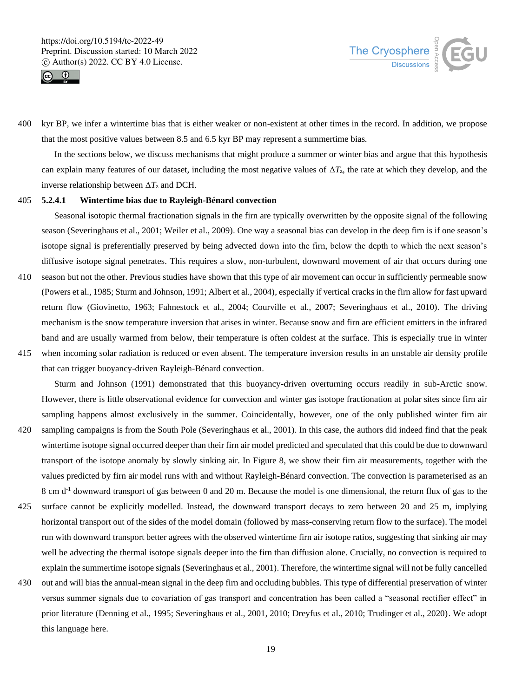



400 kyr BP, we infer a wintertime bias that is either weaker or non-existent at other times in the record. In addition, we propose that the most positive values between 8.5 and 6.5 kyr BP may represent a summertime bias.

In the sections below, we discuss mechanisms that might produce a summer or winter bias and argue that this hypothesis can explain many features of our dataset, including the most negative values of Δ*T*z, the rate at which they develop, and the inverse relationship between  $\Delta T_z$  and DCH.

# 405 **5.2.4.1 Wintertime bias due to Rayleigh-Bénard convection**

Seasonal isotopic thermal fractionation signals in the firn are typically overwritten by the opposite signal of the following season (Severinghaus et al., 2001; Weiler et al., 2009). One way a seasonal bias can develop in the deep firn is if one season's isotope signal is preferentially preserved by being advected down into the firn, below the depth to which the next season's diffusive isotope signal penetrates. This requires a slow, non-turbulent, downward movement of air that occurs during one

- 410 season but not the other. Previous studies have shown that this type of air movement can occur in sufficiently permeable snow (Powers et al., 1985; Sturm and Johnson, 1991; Albert et al., 2004), especially if vertical cracks in the firn allow for fast upward return flow (Giovinetto, 1963; Fahnestock et al., 2004; Courville et al., 2007; Severinghaus et al., 2010). The driving mechanism is the snow temperature inversion that arises in winter. Because snow and firn are efficient emitters in the infrared band and are usually warmed from below, their temperature is often coldest at the surface. This is especially true in winter
- 415 when incoming solar radiation is reduced or even absent. The temperature inversion results in an unstable air density profile that can trigger buoyancy-driven Rayleigh-Bénard convection.

Sturm and Johnson (1991) demonstrated that this buoyancy-driven overturning occurs readily in sub-Arctic snow. However, there is little observational evidence for convection and winter gas isotope fractionation at polar sites since firn air sampling happens almost exclusively in the summer. Coincidentally, however, one of the only published winter firn air

- 420 sampling campaigns is from the South Pole (Severinghaus et al., 2001). In this case, the authors did indeed find that the peak wintertime isotope signal occurred deeper than their firn air model predicted and speculated that this could be due to downward transport of the isotope anomaly by slowly sinking air. In Figure 8, we show their firn air measurements, together with the values predicted by firn air model runs with and without Rayleigh-Bénard convection. The convection is parameterised as an 8 cm d<sup>-1</sup> downward transport of gas between 0 and 20 m. Because the model is one dimensional, the return flux of gas to the
- 425 surface cannot be explicitly modelled. Instead, the downward transport decays to zero between 20 and 25 m, implying horizontal transport out of the sides of the model domain (followed by mass-conserving return flow to the surface). The model run with downward transport better agrees with the observed wintertime firn air isotope ratios, suggesting that sinking air may well be advecting the thermal isotope signals deeper into the firn than diffusion alone. Crucially, no convection is required to explain the summertime isotope signals (Severinghaus et al., 2001). Therefore, the wintertime signal will not be fully cancelled
- 430 out and will bias the annual-mean signal in the deep firn and occluding bubbles. This type of differential preservation of winter versus summer signals due to covariation of gas transport and concentration has been called a "seasonal rectifier effect" in prior literature (Denning et al., 1995; Severinghaus et al., 2001, 2010; Dreyfus et al., 2010; Trudinger et al., 2020). We adopt this language here.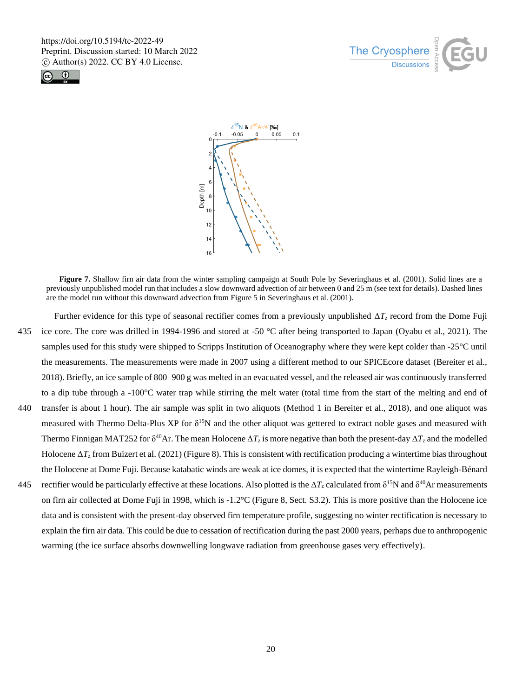





**Figure 7.** Shallow firn air data from the winter sampling campaign at South Pole by Severinghaus et al. (2001). Solid lines are a previously unpublished model run that includes a slow downward advection of air between 0 and 25 m (see text for details). Dashed lines are the model run without this downward advection from Figure 5 in Severinghaus et al. (2001).

- Further evidence for this type of seasonal rectifier comes from a previously unpublished Δ*T*<sup>z</sup> record from the Dome Fuji 435 ice core. The core was drilled in 1994-1996 and stored at -50 °C after being transported to Japan (Oyabu et al., 2021). The samples used for this study were shipped to Scripps Institution of Oceanography where they were kept colder than -25°C until the measurements. The measurements were made in 2007 using a different method to our SPICEcore dataset (Bereiter et al., 2018). Briefly, an ice sample of 800–900 g was melted in an evacuated vessel, and the released air was continuously transferred to a dip tube through a -100°C water trap while stirring the melt water (total time from the start of the melting and end of 440 transfer is about 1 hour). The air sample was split in two aliquots (Method 1 in Bereiter et al., 2018), and one aliquot was measured with Thermo Delta-Plus XP for  $\delta^{15}N$  and the other aliquot was gettered to extract noble gases and measured with Thermo Finnigan MAT252 for  $\delta^{40}$ Ar. The mean Holocene  $\Delta T_z$  is more negative than both the present-day  $\Delta T_z$  and the modelled
- Holocene Δ*T*<sup>z</sup> from Buizert et al. (2021) (Figure 8). This is consistent with rectification producing a wintertime bias throughout the Holocene at Dome Fuji. Because katabatic winds are weak at ice domes, it is expected that the wintertime Rayleigh-Bénard 445 rectifier would be particularly effective at these locations. Also plotted is the  $\Delta T_z$  calculated from  $\delta^{15}N$  and  $\delta^{40}Ar$  measurements on firn air collected at Dome Fuji in 1998, which is -1.2°C (Figure 8, Sect. S3.2). This is more positive than the Holocene ice
- data and is consistent with the present-day observed firn temperature profile, suggesting no winter rectification is necessary to explain the firn air data. This could be due to cessation of rectification during the past 2000 years, perhaps due to anthropogenic warming (the ice surface absorbs downwelling longwave radiation from greenhouse gases very effectively).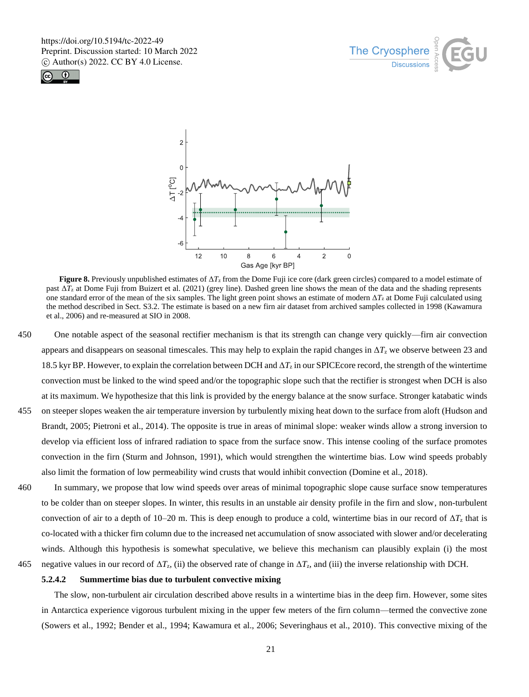





**Figure 8.** Previously unpublished estimates of Δ*T*<sup>z</sup> from the Dome Fuji ice core (dark green circles) compared to a model estimate of past Δ*T*<sup>z</sup> at Dome Fuji from Buizert et al. (2021) (grey line). Dashed green line shows the mean of the data and the shading represents one standard error of the mean of the six samples. The light green point shows an estimate of modern  $\Delta T_z$  at Dome Fuji calculated using the method described in Sect. S3.2. The estimate is based on a new firn air dataset from archived samples collected in 1998 (Kawamura et al., 2006) and re-measured at SIO in 2008.

- 450 One notable aspect of the seasonal rectifier mechanism is that its strength can change very quickly—firn air convection appears and disappears on seasonal timescales. This may help to explain the rapid changes in  $\Delta T_z$  we observe between 23 and 18.5 kyr BP. However, to explain the correlation between DCH and  $\Delta T_z$  in our SPICEcore record, the strength of the wintertime convection must be linked to the wind speed and/or the topographic slope such that the rectifier is strongest when DCH is also at its maximum. We hypothesize that this link is provided by the energy balance at the snow surface. Stronger katabatic winds
- 455 on steeper slopes weaken the air temperature inversion by turbulently mixing heat down to the surface from aloft (Hudson and Brandt, 2005; Pietroni et al., 2014). The opposite is true in areas of minimal slope: weaker winds allow a strong inversion to develop via efficient loss of infrared radiation to space from the surface snow. This intense cooling of the surface promotes convection in the firn (Sturm and Johnson, 1991), which would strengthen the wintertime bias. Low wind speeds probably also limit the formation of low permeability wind crusts that would inhibit convection (Domine et al., 2018).
- 460 In summary, we propose that low wind speeds over areas of minimal topographic slope cause surface snow temperatures to be colder than on steeper slopes. In winter, this results in an unstable air density profile in the firn and slow, non-turbulent convection of air to a depth of 10–20 m. This is deep enough to produce a cold, wintertime bias in our record of  $\Delta T_z$  that is co-located with a thicker firn column due to the increased net accumulation of snow associated with slower and/or decelerating winds. Although this hypothesis is somewhat speculative, we believe this mechanism can plausibly explain (i) the most
- 465 negative values in our record of  $\Delta T_z$ , (ii) the observed rate of change in  $\Delta T_z$ , and (iii) the inverse relationship with DCH.

# **5.2.4.2 Summertime bias due to turbulent convective mixing**

The slow, non-turbulent air circulation described above results in a wintertime bias in the deep firn. However, some sites in Antarctica experience vigorous turbulent mixing in the upper few meters of the firn column—termed the convective zone (Sowers et al., 1992; Bender et al., 1994; Kawamura et al., 2006; Severinghaus et al., 2010). This convective mixing of the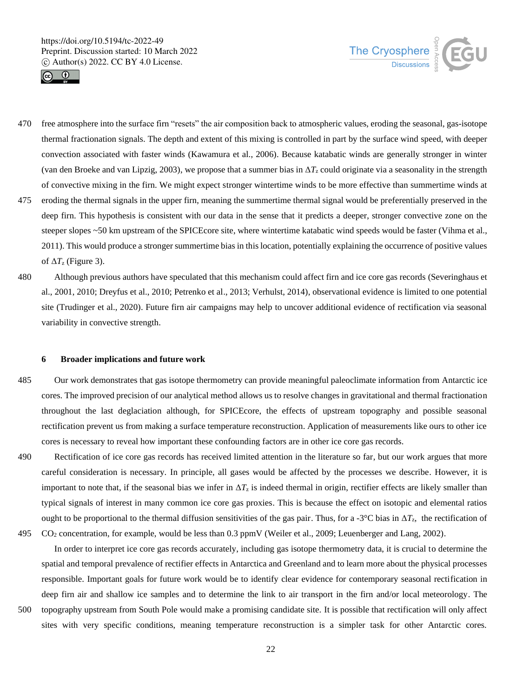



- 470 free atmosphere into the surface firn "resets" the air composition back to atmospheric values, eroding the seasonal, gas-isotope thermal fractionation signals. The depth and extent of this mixing is controlled in part by the surface wind speed, with deeper convection associated with faster winds (Kawamura et al., 2006). Because katabatic winds are generally stronger in winter (van den Broeke and van Lipzig, 2003), we propose that a summer bias in  $\Delta T_z$  could originate via a seasonality in the strength of convective mixing in the firn. We might expect stronger wintertime winds to be more effective than summertime winds at
- 475 eroding the thermal signals in the upper firn, meaning the summertime thermal signal would be preferentially preserved in the deep firn. This hypothesis is consistent with our data in the sense that it predicts a deeper, stronger convective zone on the steeper slopes ~50 km upstream of the SPICEcore site, where wintertime katabatic wind speeds would be faster (Vihma et al., 2011). This would produce a stronger summertime bias in this location, potentially explaining the occurrence of positive values of Δ*T*<sup>z</sup> (Figure 3).
- 480 Although previous authors have speculated that this mechanism could affect firn and ice core gas records (Severinghaus et al., 2001, 2010; Dreyfus et al., 2010; Petrenko et al., 2013; Verhulst, 2014), observational evidence is limited to one potential site (Trudinger et al., 2020). Future firn air campaigns may help to uncover additional evidence of rectification via seasonal variability in convective strength.

#### **6 Broader implications and future work**

485 Our work demonstrates that gas isotope thermometry can provide meaningful paleoclimate information from Antarctic ice cores. The improved precision of our analytical method allows us to resolve changes in gravitational and thermal fractionation throughout the last deglaciation although, for SPICEcore, the effects of upstream topography and possible seasonal rectification prevent us from making a surface temperature reconstruction. Application of measurements like ours to other ice cores is necessary to reveal how important these confounding factors are in other ice core gas records.

490 Rectification of ice core gas records has received limited attention in the literature so far, but our work argues that more careful consideration is necessary. In principle, all gases would be affected by the processes we describe. However, it is important to note that, if the seasonal bias we infer in  $\Delta T_z$  is indeed thermal in origin, rectifier effects are likely smaller than typical signals of interest in many common ice core gas proxies. This is because the effect on isotopic and elemental ratios ought to be proportional to the thermal diffusion sensitivities of the gas pair. Thus, for a -3<sup>o</sup>C bias in  $\Delta T_z$ , the rectification of 495 CO<sup>2</sup> concentration, for example, would be less than 0.3 ppmV (Weiler et al., 2009; Leuenberger and Lang, 2002).

In order to interpret ice core gas records accurately, including gas isotope thermometry data, it is crucial to determine the spatial and temporal prevalence of rectifier effects in Antarctica and Greenland and to learn more about the physical processes responsible. Important goals for future work would be to identify clear evidence for contemporary seasonal rectification in deep firn air and shallow ice samples and to determine the link to air transport in the firn and/or local meteorology. The 500 topography upstream from South Pole would make a promising candidate site. It is possible that rectification will only affect sites with very specific conditions, meaning temperature reconstruction is a simpler task for other Antarctic cores.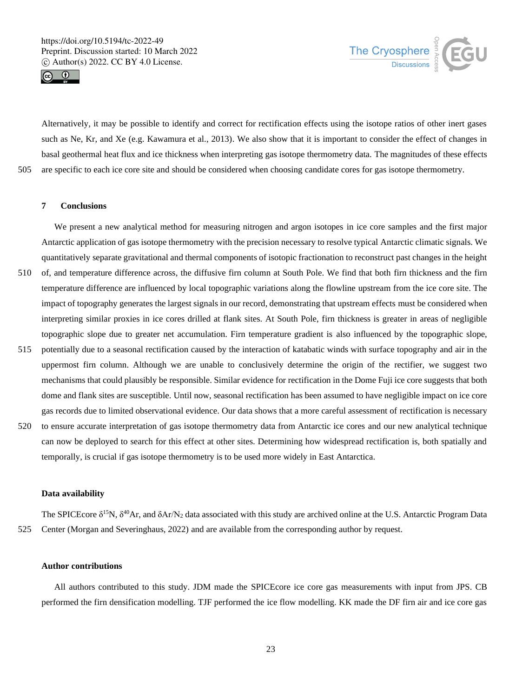



Alternatively, it may be possible to identify and correct for rectification effects using the isotope ratios of other inert gases such as Ne, Kr, and Xe (e.g. Kawamura et al., 2013). We also show that it is important to consider the effect of changes in basal geothermal heat flux and ice thickness when interpreting gas isotope thermometry data. The magnitudes of these effects 505 are specific to each ice core site and should be considered when choosing candidate cores for gas isotope thermometry.

**7 Conclusions**

We present a new analytical method for measuring nitrogen and argon isotopes in ice core samples and the first major Antarctic application of gas isotope thermometry with the precision necessary to resolve typical Antarctic climatic signals. We quantitatively separate gravitational and thermal components of isotopic fractionation to reconstruct past changes in the height

- 510 of, and temperature difference across, the diffusive firn column at South Pole. We find that both firn thickness and the firn temperature difference are influenced by local topographic variations along the flowline upstream from the ice core site. The impact of topography generates the largest signals in our record, demonstrating that upstream effects must be considered when interpreting similar proxies in ice cores drilled at flank sites. At South Pole, firn thickness is greater in areas of negligible topographic slope due to greater net accumulation. Firn temperature gradient is also influenced by the topographic slope,
- 515 potentially due to a seasonal rectification caused by the interaction of katabatic winds with surface topography and air in the uppermost firn column. Although we are unable to conclusively determine the origin of the rectifier, we suggest two mechanisms that could plausibly be responsible. Similar evidence for rectification in the Dome Fuji ice core suggests that both dome and flank sites are susceptible. Until now, seasonal rectification has been assumed to have negligible impact on ice core gas records due to limited observational evidence. Our data shows that a more careful assessment of rectification is necessary
- 520 to ensure accurate interpretation of gas isotope thermometry data from Antarctic ice cores and our new analytical technique can now be deployed to search for this effect at other sites. Determining how widespread rectification is, both spatially and temporally, is crucial if gas isotope thermometry is to be used more widely in East Antarctica.

## **Data availability**

The SPICEcore  $\delta^{15}N$ ,  $\delta^{40}Ar$ , and  $\delta Ar/N_2$  data associated with this study are archived online at the U.S. Antarctic Program Data 525 Center (Morgan and Severinghaus, 2022) and are available from the corresponding author by request.

## **Author contributions**

All authors contributed to this study. JDM made the SPICEcore ice core gas measurements with input from JPS. CB performed the firn densification modelling. TJF performed the ice flow modelling. KK made the DF firn air and ice core gas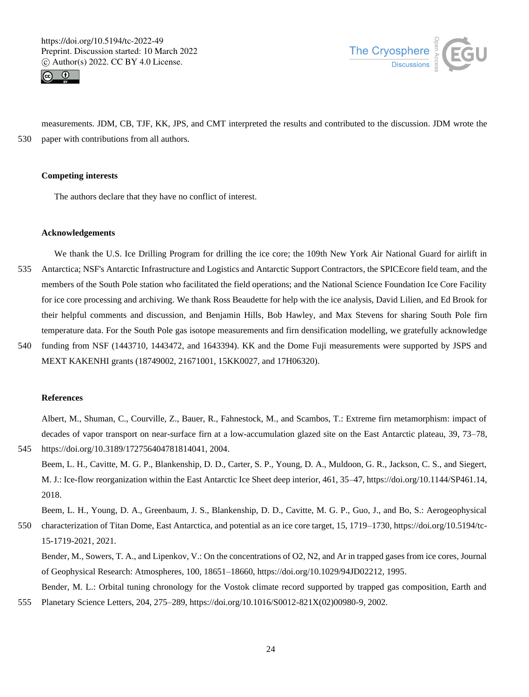



measurements. JDM, CB, TJF, KK, JPS, and CMT interpreted the results and contributed to the discussion. JDM wrote the 530 paper with contributions from all authors.

#### **Competing interests**

The authors declare that they have no conflict of interest.

#### **Acknowledgements**

We thank the U.S. Ice Drilling Program for drilling the ice core; the 109th New York Air National Guard for airlift in 535 Antarctica; NSF's Antarctic Infrastructure and Logistics and Antarctic Support Contractors, the SPICEcore field team, and the members of the South Pole station who facilitated the field operations; and the National Science Foundation Ice Core Facility for ice core processing and archiving. We thank Ross Beaudette for help with the ice analysis, David Lilien, and Ed Brook for their helpful comments and discussion, and Benjamin Hills, Bob Hawley, and Max Stevens for sharing South Pole firn temperature data. For the South Pole gas isotope measurements and firn densification modelling, we gratefully acknowledge

540 funding from NSF (1443710, 1443472, and 1643394). KK and the Dome Fuji measurements were supported by JSPS and MEXT KAKENHI grants (18749002, 21671001, 15KK0027, and 17H06320).

# **References**

Albert, M., Shuman, C., Courville, Z., Bauer, R., Fahnestock, M., and Scambos, T.: Extreme firn metamorphism: impact of decades of vapor transport on near-surface firn at a low-accumulation glazed site on the East Antarctic plateau, 39, 73–78, 545 https://doi.org/10.3189/172756404781814041, 2004.

Beem, L. H., Cavitte, M. G. P., Blankenship, D. D., Carter, S. P., Young, D. A., Muldoon, G. R., Jackson, C. S., and Siegert, M. J.: Ice-flow reorganization within the East Antarctic Ice Sheet deep interior, 461, 35–47, https://doi.org/10.1144/SP461.14, 2018.

Beem, L. H., Young, D. A., Greenbaum, J. S., Blankenship, D. D., Cavitte, M. G. P., Guo, J., and Bo, S.: Aerogeophysical 550 characterization of Titan Dome, East Antarctica, and potential as an ice core target, 15, 1719–1730, https://doi.org/10.5194/tc-15-1719-2021, 2021.

Bender, M., Sowers, T. A., and Lipenkov, V.: On the concentrations of O2, N2, and Ar in trapped gases from ice cores, Journal of Geophysical Research: Atmospheres, 100, 18651–18660, https://doi.org/10.1029/94JD02212, 1995.

Bender, M. L.: Orbital tuning chronology for the Vostok climate record supported by trapped gas composition, Earth and 555 Planetary Science Letters, 204, 275–289, https://doi.org/10.1016/S0012-821X(02)00980-9, 2002.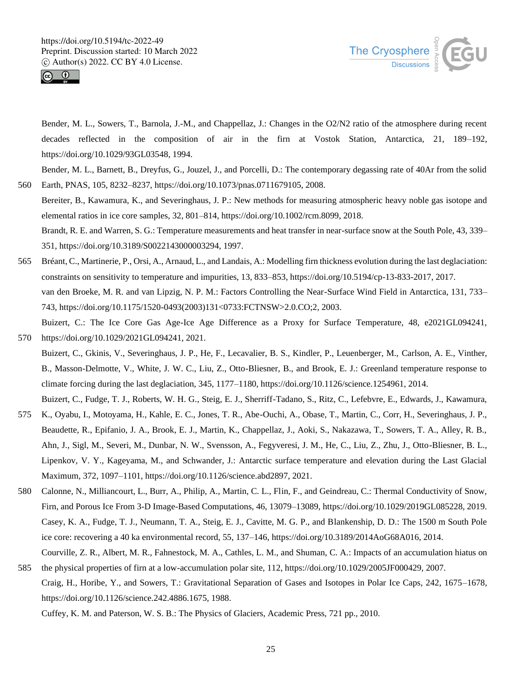



Bender, M. L., Sowers, T., Barnola, J.-M., and Chappellaz, J.: Changes in the O2/N2 ratio of the atmosphere during recent decades reflected in the composition of air in the firn at Vostok Station, Antarctica, 21, 189–192, https://doi.org/10.1029/93GL03548, 1994.

Bender, M. L., Barnett, B., Dreyfus, G., Jouzel, J., and Porcelli, D.: The contemporary degassing rate of 40Ar from the solid 560 Earth, PNAS, 105, 8232–8237, https://doi.org/10.1073/pnas.0711679105, 2008.

Bereiter, B., Kawamura, K., and Severinghaus, J. P.: New methods for measuring atmospheric heavy noble gas isotope and elemental ratios in ice core samples, 32, 801–814, https://doi.org/10.1002/rcm.8099, 2018.

Brandt, R. E. and Warren, S. G.: Temperature measurements and heat transfer in near-surface snow at the South Pole, 43, 339– 351, https://doi.org/10.3189/S0022143000003294, 1997.

565 Bréant, C., Martinerie, P., Orsi, A., Arnaud, L., and Landais, A.: Modelling firn thickness evolution during the last deglaciation: constraints on sensitivity to temperature and impurities, 13, 833–853, https://doi.org/10.5194/cp-13-833-2017, 2017. van den Broeke, M. R. and van Lipzig, N. P. M.: Factors Controlling the Near-Surface Wind Field in Antarctica, 131, 733– 743, https://doi.org/10.1175/1520-0493(2003)131<0733:FCTNSW>2.0.CO;2, 2003.

Buizert, C.: The Ice Core Gas Age-Ice Age Difference as a Proxy for Surface Temperature, 48, e2021GL094241, 570 https://doi.org/10.1029/2021GL094241, 2021.

Buizert, C., Gkinis, V., Severinghaus, J. P., He, F., Lecavalier, B. S., Kindler, P., Leuenberger, M., Carlson, A. E., Vinther, B., Masson-Delmotte, V., White, J. W. C., Liu, Z., Otto-Bliesner, B., and Brook, E. J.: Greenland temperature response to climate forcing during the last deglaciation, 345, 1177–1180, https://doi.org/10.1126/science.1254961, 2014.

Buizert, C., Fudge, T. J., Roberts, W. H. G., Steig, E. J., Sherriff-Tadano, S., Ritz, C., Lefebvre, E., Edwards, J., Kawamura, 575 K., Oyabu, I., Motoyama, H., Kahle, E. C., Jones, T. R., Abe-Ouchi, A., Obase, T., Martin, C., Corr, H., Severinghaus, J. P., Beaudette, R., Epifanio, J. A., Brook, E. J., Martin, K., Chappellaz, J., Aoki, S., Nakazawa, T., Sowers, T. A., Alley, R. B., Ahn, J., Sigl, M., Severi, M., Dunbar, N. W., Svensson, A., Fegyveresi, J. M., He, C., Liu, Z., Zhu, J., Otto-Bliesner, B. L., Lipenkov, V. Y., Kageyama, M., and Schwander, J.: Antarctic surface temperature and elevation during the Last Glacial

- 580 Calonne, N., Milliancourt, L., Burr, A., Philip, A., Martin, C. L., Flin, F., and Geindreau, C.: Thermal Conductivity of Snow, Firn, and Porous Ice From 3-D Image-Based Computations, 46, 13079–13089, https://doi.org/10.1029/2019GL085228, 2019. Casey, K. A., Fudge, T. J., Neumann, T. A., Steig, E. J., Cavitte, M. G. P., and Blankenship, D. D.: The 1500 m South Pole ice core: recovering a 40 ka environmental record, 55, 137–146, https://doi.org/10.3189/2014AoG68A016, 2014.
- Courville, Z. R., Albert, M. R., Fahnestock, M. A., Cathles, L. M., and Shuman, C. A.: Impacts of an accumulation hiatus on 585 the physical properties of firn at a low-accumulation polar site, 112, https://doi.org/10.1029/2005JF000429, 2007.
	- Craig, H., Horibe, Y., and Sowers, T.: Gravitational Separation of Gases and Isotopes in Polar Ice Caps, 242, 1675–1678, https://doi.org/10.1126/science.242.4886.1675, 1988.

Cuffey, K. M. and Paterson, W. S. B.: The Physics of Glaciers, Academic Press, 721 pp., 2010.

Maximum, 372, 1097–1101, https://doi.org/10.1126/science.abd2897, 2021.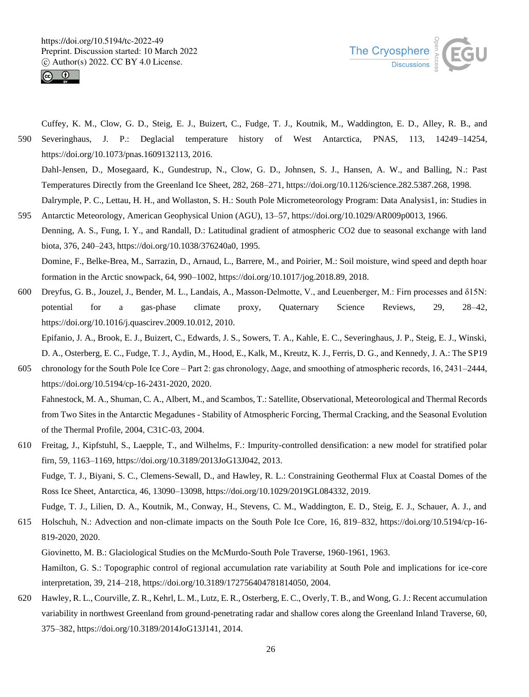



Cuffey, K. M., Clow, G. D., Steig, E. J., Buizert, C., Fudge, T. J., Koutnik, M., Waddington, E. D., Alley, R. B., and 590 Severinghaus, J. P.: Deglacial temperature history of West Antarctica, PNAS, 113, 14249–14254, https://doi.org/10.1073/pnas.1609132113, 2016.

Dahl-Jensen, D., Mosegaard, K., Gundestrup, N., Clow, G. D., Johnsen, S. J., Hansen, A. W., and Balling, N.: Past Temperatures Directly from the Greenland Ice Sheet, 282, 268–271, https://doi.org/10.1126/science.282.5387.268, 1998. Dalrymple, P. C., Lettau, H. H., and Wollaston, S. H.: South Pole Micrometeorology Program: Data Analysis1, in: Studies in

- 595 Antarctic Meteorology, American Geophysical Union (AGU), 13–57, https://doi.org/10.1029/AR009p0013, 1966. Denning, A. S., Fung, I. Y., and Randall, D.: Latitudinal gradient of atmospheric CO2 due to seasonal exchange with land biota, 376, 240–243, https://doi.org/10.1038/376240a0, 1995. Domine, F., Belke-Brea, M., Sarrazin, D., Arnaud, L., Barrere, M., and Poirier, M.: Soil moisture, wind speed and depth hoar formation in the Arctic snowpack, 64, 990–1002, https://doi.org/10.1017/jog.2018.89, 2018.
- 600 Dreyfus, G. B., Jouzel, J., Bender, M. L., Landais, A., Masson-Delmotte, V., and Leuenberger, M.: Firn processes and δ15N: potential for a gas-phase climate proxy, Quaternary Science Reviews, 29, 28–42, https://doi.org/10.1016/j.quascirev.2009.10.012, 2010.

Epifanio, J. A., Brook, E. J., Buizert, C., Edwards, J. S., Sowers, T. A., Kahle, E. C., Severinghaus, J. P., Steig, E. J., Winski, D. A., Osterberg, E. C., Fudge, T. J., Aydin, M., Hood, E., Kalk, M., Kreutz, K. J., Ferris, D. G., and Kennedy, J. A.: The SP19

605 chronology for the South Pole Ice Core – Part 2: gas chronology, Δage, and smoothing of atmospheric records, 16, 2431–2444, https://doi.org/10.5194/cp-16-2431-2020, 2020.

Fahnestock, M. A., Shuman, C. A., Albert, M., and Scambos, T.: Satellite, Observational, Meteorological and Thermal Records from Two Sites in the Antarctic Megadunes - Stability of Atmospheric Forcing, Thermal Cracking, and the Seasonal Evolution of the Thermal Profile, 2004, C31C-03, 2004.

610 Freitag, J., Kipfstuhl, S., Laepple, T., and Wilhelms, F.: Impurity-controlled densification: a new model for stratified polar firn, 59, 1163–1169, https://doi.org/10.3189/2013JoG13J042, 2013. Fudge, T. J., Biyani, S. C., Clemens-Sewall, D., and Hawley, R. L.: Constraining Geothermal Flux at Coastal Domes of the Ross Ice Sheet, Antarctica, 46, 13090–13098, https://doi.org/10.1029/2019GL084332, 2019. Fudge, T. J., Lilien, D. A., Koutnik, M., Conway, H., Stevens, C. M., Waddington, E. D., Steig, E. J., Schauer, A. J., and

615 Holschuh, N.: Advection and non-climate impacts on the South Pole Ice Core, 16, 819–832, https://doi.org/10.5194/cp-16- 819-2020, 2020.

Giovinetto, M. B.: Glaciological Studies on the McMurdo-South Pole Traverse, 1960-1961, 1963.

Hamilton, G. S.: Topographic control of regional accumulation rate variability at South Pole and implications for ice-core interpretation, 39, 214–218, https://doi.org/10.3189/172756404781814050, 2004.

620 Hawley, R. L., Courville, Z. R., Kehrl, L. M., Lutz, E. R., Osterberg, E. C., Overly, T. B., and Wong, G. J.: Recent accumulation variability in northwest Greenland from ground-penetrating radar and shallow cores along the Greenland Inland Traverse, 60, 375–382, https://doi.org/10.3189/2014JoG13J141, 2014.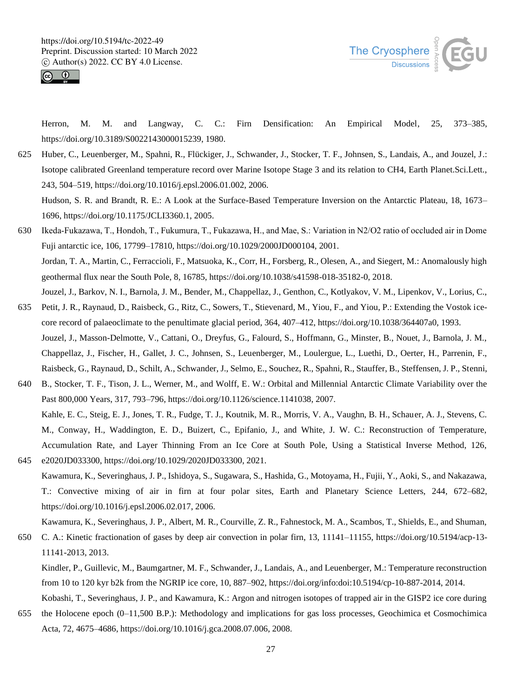



Herron, M. M. and Langway, C. C.: Firn Densification: An Empirical Model, 25, 373–385, https://doi.org/10.3189/S0022143000015239, 1980.

625 Huber, C., Leuenberger, M., Spahni, R., Flückiger, J., Schwander, J., Stocker, T. F., Johnsen, S., Landais, A., and Jouzel, J.: Isotope calibrated Greenland temperature record over Marine Isotope Stage 3 and its relation to CH4, Earth Planet.Sci.Lett., 243, 504–519, https://doi.org/10.1016/j.epsl.2006.01.002, 2006.

Hudson, S. R. and Brandt, R. E.: A Look at the Surface-Based Temperature Inversion on the Antarctic Plateau, 18, 1673– 1696, https://doi.org/10.1175/JCLI3360.1, 2005.

- 630 Ikeda‐Fukazawa, T., Hondoh, T., Fukumura, T., Fukazawa, H., and Mae, S.: Variation in N2/O2 ratio of occluded air in Dome Fuji antarctic ice, 106, 17799–17810, https://doi.org/10.1029/2000JD000104, 2001. Jordan, T. A., Martin, C., Ferraccioli, F., Matsuoka, K., Corr, H., Forsberg, R., Olesen, A., and Siegert, M.: Anomalously high geothermal flux near the South Pole, 8, 16785, https://doi.org/10.1038/s41598-018-35182-0, 2018. Jouzel, J., Barkov, N. I., Barnola, J. M., Bender, M., Chappellaz, J., Genthon, C., Kotlyakov, V. M., Lipenkov, V., Lorius, C.,
- 635 Petit, J. R., Raynaud, D., Raisbeck, G., Ritz, C., Sowers, T., Stievenard, M., Yiou, F., and Yiou, P.: Extending the Vostok icecore record of palaeoclimate to the penultimate glacial period, 364, 407–412, https://doi.org/10.1038/364407a0, 1993. Jouzel, J., Masson-Delmotte, V., Cattani, O., Dreyfus, G., Falourd, S., Hoffmann, G., Minster, B., Nouet, J., Barnola, J. M., Chappellaz, J., Fischer, H., Gallet, J. C., Johnsen, S., Leuenberger, M., Loulergue, L., Luethi, D., Oerter, H., Parrenin, F., Raisbeck, G., Raynaud, D., Schilt, A., Schwander, J., Selmo, E., Souchez, R., Spahni, R., Stauffer, B., Steffensen, J. P., Stenni,
- 640 B., Stocker, T. F., Tison, J. L., Werner, M., and Wolff, E. W.: Orbital and Millennial Antarctic Climate Variability over the Past 800,000 Years, 317, 793–796, https://doi.org/10.1126/science.1141038, 2007. Kahle, E. C., Steig, E. J., Jones, T. R., Fudge, T. J., Koutnik, M. R., Morris, V. A., Vaughn, B. H., Schauer, A. J., Stevens, C. M., Conway, H., Waddington, E. D., Buizert, C., Epifanio, J., and White, J. W. C.: Reconstruction of Temperature, Accumulation Rate, and Layer Thinning From an Ice Core at South Pole, Using a Statistical Inverse Method, 126,
- 645 e2020JD033300, https://doi.org/10.1029/2020JD033300, 2021. Kawamura, K., Severinghaus, J. P., Ishidoya, S., Sugawara, S., Hashida, G., Motoyama, H., Fujii, Y., Aoki, S., and Nakazawa, T.: Convective mixing of air in firn at four polar sites, Earth and Planetary Science Letters, 244, 672–682, https://doi.org/10.1016/j.epsl.2006.02.017, 2006.
- Kawamura, K., Severinghaus, J. P., Albert, M. R., Courville, Z. R., Fahnestock, M. A., Scambos, T., Shields, E., and Shuman, 650 C. A.: Kinetic fractionation of gases by deep air convection in polar firn, 13, 11141–11155, https://doi.org/10.5194/acp-13- 11141-2013, 2013.

Kindler, P., Guillevic, M., Baumgartner, M. F., Schwander, J., Landais, A., and Leuenberger, M.: Temperature reconstruction from 10 to 120 kyr b2k from the NGRIP ice core, 10, 887–902, https://doi.org/info:doi:10.5194/cp-10-887-2014, 2014.

Kobashi, T., Severinghaus, J. P., and Kawamura, K.: Argon and nitrogen isotopes of trapped air in the GISP2 ice core during 655 the Holocene epoch (0–11,500 B.P.): Methodology and implications for gas loss processes, Geochimica et Cosmochimica Acta, 72, 4675–4686, https://doi.org/10.1016/j.gca.2008.07.006, 2008.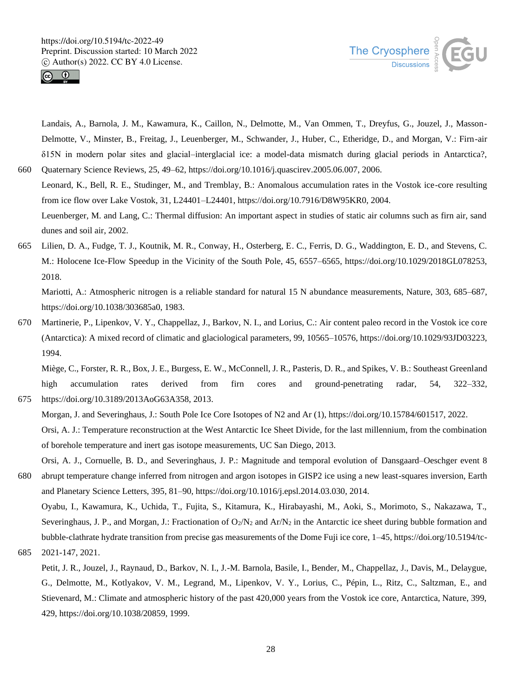



Landais, A., Barnola, J. M., Kawamura, K., Caillon, N., Delmotte, M., Van Ommen, T., Dreyfus, G., Jouzel, J., Masson-Delmotte, V., Minster, B., Freitag, J., Leuenberger, M., Schwander, J., Huber, C., Etheridge, D., and Morgan, V.: Firn-air δ15N in modern polar sites and glacial–interglacial ice: a model-data mismatch during glacial periods in Antarctica?, 660 Quaternary Science Reviews, 25, 49–62, https://doi.org/10.1016/j.quascirev.2005.06.007, 2006.

- Leonard, K., Bell, R. E., Studinger, M., and Tremblay, B.: Anomalous accumulation rates in the Vostok ice-core resulting from ice flow over Lake Vostok, 31, L24401–L24401, https://doi.org/10.7916/D8W95KR0, 2004. Leuenberger, M. and Lang, C.: Thermal diffusion: An important aspect in studies of static air columns such as firn air, sand dunes and soil air, 2002.
- 665 Lilien, D. A., Fudge, T. J., Koutnik, M. R., Conway, H., Osterberg, E. C., Ferris, D. G., Waddington, E. D., and Stevens, C. M.: Holocene Ice-Flow Speedup in the Vicinity of the South Pole, 45, 6557–6565, https://doi.org/10.1029/2018GL078253, 2018.

Mariotti, A.: Atmospheric nitrogen is a reliable standard for natural 15 N abundance measurements, Nature, 303, 685–687, https://doi.org/10.1038/303685a0, 1983.

670 Martinerie, P., Lipenkov, V. Y., Chappellaz, J., Barkov, N. I., and Lorius, C.: Air content paleo record in the Vostok ice core (Antarctica): A mixed record of climatic and glaciological parameters, 99, 10565–10576, https://doi.org/10.1029/93JD03223, 1994.

Miège, C., Forster, R. R., Box, J. E., Burgess, E. W., McConnell, J. R., Pasteris, D. R., and Spikes, V. B.: Southeast Greenland high accumulation rates derived from firn cores and ground-penetrating radar, 54, 322–332, 675 https://doi.org/10.3189/2013AoG63A358, 2013.

Morgan, J. and Severinghaus, J.: South Pole Ice Core Isotopes of N2 and Ar (1), https://doi.org/10.15784/601517, 2022.

Orsi, A. J.: Temperature reconstruction at the West Antarctic Ice Sheet Divide, for the last millennium, from the combination of borehole temperature and inert gas isotope measurements, UC San Diego, 2013.

Orsi, A. J., Cornuelle, B. D., and Severinghaus, J. P.: Magnitude and temporal evolution of Dansgaard–Oeschger event 8 680 abrupt temperature change inferred from nitrogen and argon isotopes in GISP2 ice using a new least-squares inversion, Earth and Planetary Science Letters, 395, 81–90, https://doi.org/10.1016/j.epsl.2014.03.030, 2014.

Oyabu, I., Kawamura, K., Uchida, T., Fujita, S., Kitamura, K., Hirabayashi, M., Aoki, S., Morimoto, S., Nakazawa, T., Severinghaus, J. P., and Morgan, J.: Fractionation of  $O_2/N_2$  and Ar/N<sub>2</sub> in the Antarctic ice sheet during bubble formation and bubble-clathrate hydrate transition from precise gas measurements of the Dome Fuji ice core, 1–45, https://doi.org/10.5194/tc-685 2021-147, 2021.

Petit, J. R., Jouzel, J., Raynaud, D., Barkov, N. I., J.-M. Barnola, Basile, I., Bender, M., Chappellaz, J., Davis, M., Delaygue, G., Delmotte, M., Kotlyakov, V. M., Legrand, M., Lipenkov, V. Y., Lorius, C., Pépin, L., Ritz, C., Saltzman, E., and Stievenard, M.: Climate and atmospheric history of the past 420,000 years from the Vostok ice core, Antarctica, Nature, 399, 429, https://doi.org/10.1038/20859, 1999.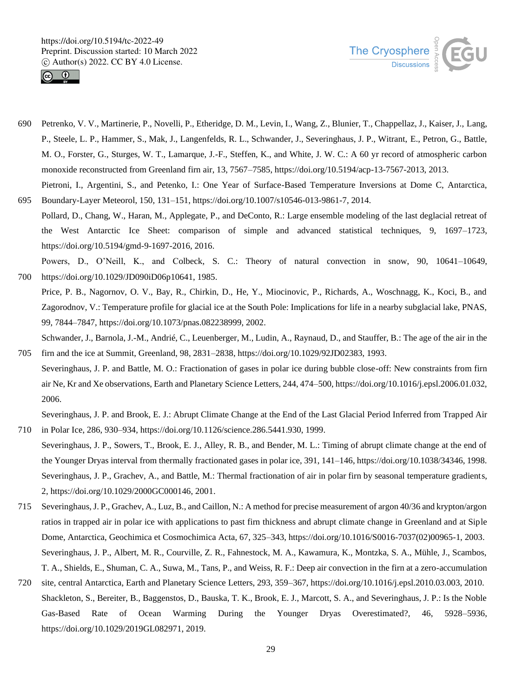



- 690 Petrenko, V. V., Martinerie, P., Novelli, P., Etheridge, D. M., Levin, I., Wang, Z., Blunier, T., Chappellaz, J., Kaiser, J., Lang, P., Steele, L. P., Hammer, S., Mak, J., Langenfelds, R. L., Schwander, J., Severinghaus, J. P., Witrant, E., Petron, G., Battle, M. O., Forster, G., Sturges, W. T., Lamarque, J.-F., Steffen, K., and White, J. W. C.: A 60 yr record of atmospheric carbon monoxide reconstructed from Greenland firn air, 13, 7567–7585, https://doi.org/10.5194/acp-13-7567-2013, 2013. Pietroni, I., Argentini, S., and Petenko, I.: One Year of Surface-Based Temperature Inversions at Dome C, Antarctica,
- 695 Boundary-Layer Meteorol, 150, 131–151, https://doi.org/10.1007/s10546-013-9861-7, 2014. Pollard, D., Chang, W., Haran, M., Applegate, P., and DeConto, R.: Large ensemble modeling of the last deglacial retreat of the West Antarctic Ice Sheet: comparison of simple and advanced statistical techniques, 9, 1697–1723, https://doi.org/10.5194/gmd-9-1697-2016, 2016.
- Powers, D., O'Neill, K., and Colbeck, S. C.: Theory of natural convection in snow, 90, 10641–10649, 700 https://doi.org/10.1029/JD090iD06p10641, 1985.
- Price, P. B., Nagornov, O. V., Bay, R., Chirkin, D., He, Y., Miocinovic, P., Richards, A., Woschnagg, K., Koci, B., and Zagorodnov, V.: Temperature profile for glacial ice at the South Pole: Implications for life in a nearby subglacial lake, PNAS, 99, 7844–7847, https://doi.org/10.1073/pnas.082238999, 2002.

Schwander, J., Barnola, J.-M., Andrié, C., Leuenberger, M., Ludin, A., Raynaud, D., and Stauffer, B.: The age of the air in the 705 firn and the ice at Summit, Greenland, 98, 2831–2838, https://doi.org/10.1029/92JD02383, 1993.

Severinghaus, J. P. and Battle, M. O.: Fractionation of gases in polar ice during bubble close-off: New constraints from firn air Ne, Kr and Xe observations, Earth and Planetary Science Letters, 244, 474–500, https://doi.org/10.1016/j.epsl.2006.01.032, 2006.

Severinghaus, J. P. and Brook, E. J.: Abrupt Climate Change at the End of the Last Glacial Period Inferred from Trapped Air 710 in Polar Ice, 286, 930–934, https://doi.org/10.1126/science.286.5441.930, 1999.

- Severinghaus, J. P., Sowers, T., Brook, E. J., Alley, R. B., and Bender, M. L.: Timing of abrupt climate change at the end of the Younger Dryas interval from thermally fractionated gases in polar ice, 391, 141–146, https://doi.org/10.1038/34346, 1998. Severinghaus, J. P., Grachev, A., and Battle, M.: Thermal fractionation of air in polar firn by seasonal temperature gradients, 2, https://doi.org/10.1029/2000GC000146, 2001.
- 715 Severinghaus, J. P., Grachev, A., Luz, B., and Caillon, N.: A method for precise measurement of argon 40/36 and krypton/argon ratios in trapped air in polar ice with applications to past firn thickness and abrupt climate change in Greenland and at Siple Dome, Antarctica, Geochimica et Cosmochimica Acta, 67, 325–343, https://doi.org/10.1016/S0016-7037(02)00965-1, 2003. Severinghaus, J. P., Albert, M. R., Courville, Z. R., Fahnestock, M. A., Kawamura, K., Montzka, S. A., Mühle, J., Scambos, T. A., Shields, E., Shuman, C. A., Suwa, M., Tans, P., and Weiss, R. F.: Deep air convection in the firn at a zero-accumulation
- 720 site, central Antarctica, Earth and Planetary Science Letters, 293, 359–367, https://doi.org/10.1016/j.epsl.2010.03.003, 2010. Shackleton, S., Bereiter, B., Baggenstos, D., Bauska, T. K., Brook, E. J., Marcott, S. A., and Severinghaus, J. P.: Is the Noble Gas-Based Rate of Ocean Warming During the Younger Dryas Overestimated?, 46, 5928–5936, https://doi.org/10.1029/2019GL082971, 2019.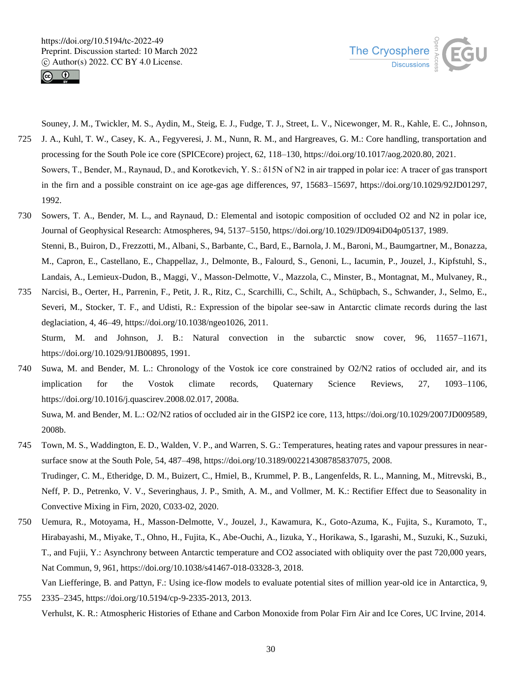



Souney, J. M., Twickler, M. S., Aydin, M., Steig, E. J., Fudge, T. J., Street, L. V., Nicewonger, M. R., Kahle, E. C., Johnson, 725 J. A., Kuhl, T. W., Casey, K. A., Fegyveresi, J. M., Nunn, R. M., and Hargreaves, G. M.: Core handling, transportation and

- processing for the South Pole ice core (SPICEcore) project, 62, 118–130, https://doi.org/10.1017/aog.2020.80, 2021. Sowers, T., Bender, M., Raynaud, D., and Korotkevich, Y. S.: δ15N of N2 in air trapped in polar ice: A tracer of gas transport in the firn and a possible constraint on ice age-gas age differences, 97, 15683–15697, https://doi.org/10.1029/92JD01297, 1992.
- 730 Sowers, T. A., Bender, M. L., and Raynaud, D.: Elemental and isotopic composition of occluded O2 and N2 in polar ice, Journal of Geophysical Research: Atmospheres, 94, 5137–5150, https://doi.org/10.1029/JD094iD04p05137, 1989. Stenni, B., Buiron, D., Frezzotti, M., Albani, S., Barbante, C., Bard, E., Barnola, J. M., Baroni, M., Baumgartner, M., Bonazza, M., Capron, E., Castellano, E., Chappellaz, J., Delmonte, B., Falourd, S., Genoni, L., Iacumin, P., Jouzel, J., Kipfstuhl, S., Landais, A., Lemieux-Dudon, B., Maggi, V., Masson-Delmotte, V., Mazzola, C., Minster, B., Montagnat, M., Mulvaney, R.,
- 735 Narcisi, B., Oerter, H., Parrenin, F., Petit, J. R., Ritz, C., Scarchilli, C., Schilt, A., Schüpbach, S., Schwander, J., Selmo, E., Severi, M., Stocker, T. F., and Udisti, R.: Expression of the bipolar see-saw in Antarctic climate records during the last deglaciation, 4, 46–49, https://doi.org/10.1038/ngeo1026, 2011. Sturm, M. and Johnson, J. B.: Natural convection in the subarctic snow cover, 96, 11657–11671,

https://doi.org/10.1029/91JB00895, 1991.

740 Suwa, M. and Bender, M. L.: Chronology of the Vostok ice core constrained by O2/N2 ratios of occluded air, and its implication for the Vostok climate records, Quaternary Science Reviews, 27, 1093–1106, https://doi.org/10.1016/j.quascirev.2008.02.017, 2008a.

Suwa, M. and Bender, M. L.: O2/N2 ratios of occluded air in the GISP2 ice core, 113, https://doi.org/10.1029/2007JD009589, 2008b.

- 745 Town, M. S., Waddington, E. D., Walden, V. P., and Warren, S. G.: Temperatures, heating rates and vapour pressures in nearsurface snow at the South Pole, 54, 487–498, https://doi.org/10.3189/002214308785837075, 2008. Trudinger, C. M., Etheridge, D. M., Buizert, C., Hmiel, B., Krummel, P. B., Langenfelds, R. L., Manning, M., Mitrevski, B., Neff, P. D., Petrenko, V. V., Severinghaus, J. P., Smith, A. M., and Vollmer, M. K.: Rectifier Effect due to Seasonality in Convective Mixing in Firn, 2020, C033-02, 2020.
- 750 Uemura, R., Motoyama, H., Masson-Delmotte, V., Jouzel, J., Kawamura, K., Goto-Azuma, K., Fujita, S., Kuramoto, T., Hirabayashi, M., Miyake, T., Ohno, H., Fujita, K., Abe-Ouchi, A., Iizuka, Y., Horikawa, S., Igarashi, M., Suzuki, K., Suzuki, T., and Fujii, Y.: Asynchrony between Antarctic temperature and CO2 associated with obliquity over the past 720,000 years, Nat Commun, 9, 961, https://doi.org/10.1038/s41467-018-03328-3, 2018.
- Van Liefferinge, B. and Pattyn, F.: Using ice-flow models to evaluate potential sites of million year-old ice in Antarctica, 9, 755 2335–2345, https://doi.org/10.5194/cp-9-2335-2013, 2013.

Verhulst, K. R.: Atmospheric Histories of Ethane and Carbon Monoxide from Polar Firn Air and Ice Cores, UC Irvine, 2014.